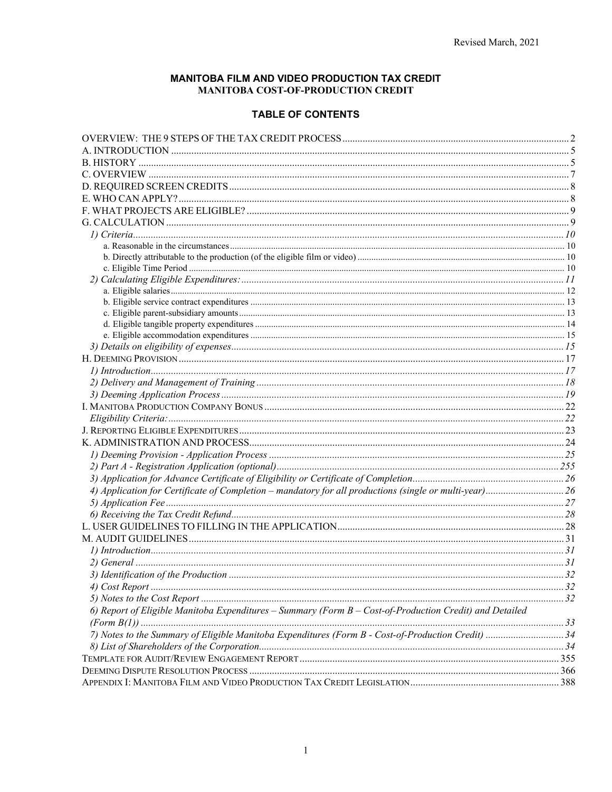#### MANITOBA FILM AND VIDEO PRODUCTION TAX CREDIT MANITOBA COST-OF-PRODUCTION CREDIT

#### **TABLE OF CONTENTS**

| 6) Report of Eligible Manitoba Expenditures - Summary (Form B - Cost-of-Production Credit) and Detailed |  |
|---------------------------------------------------------------------------------------------------------|--|
|                                                                                                         |  |
| 7) Notes to the Summary of Eligible Manitoba Expenditures (Form B - Cost-of-Production Credit) 34       |  |
|                                                                                                         |  |
|                                                                                                         |  |
|                                                                                                         |  |
|                                                                                                         |  |
|                                                                                                         |  |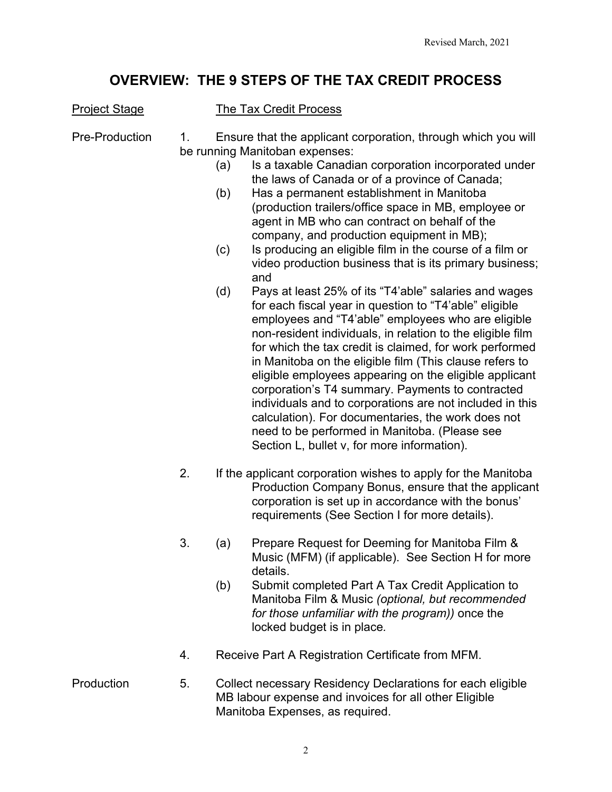# **OVERVIEW: THE 9 STEPS OF THE TAX CREDIT PROCESS**

### <span id="page-1-0"></span>**Project Stage The Tax Credit Process**

Pre-Production 1. Ensure that the applicant corporation, through which you will be running Manitoban expenses:

- (a) Is a taxable Canadian corporation incorporated under the laws of Canada or of a province of Canada;
- (b) Has a permanent establishment in Manitoba (production trailers/office space in MB, employee or agent in MB who can contract on behalf of the company, and production equipment in MB);
- (c) Is producing an eligible film in the course of a film or video production business that is its primary business; and
- (d) Pays at least 25% of its "T4'able" salaries and wages for each fiscal year in question to "T4'able" eligible employees and "T4'able" employees who are eligible non-resident individuals, in relation to the eligible film for which the tax credit is claimed, for work performed in Manitoba on the eligible film (This clause refers to eligible employees appearing on the eligible applicant corporation's T4 summary. Payments to contracted individuals and to corporations are not included in this calculation). For documentaries, the work does not need to be performed in Manitoba. (Please see Section L, bullet v, for more information).
- 2. If the applicant corporation wishes to apply for the Manitoba Production Company Bonus, ensure that the applicant corporation is set up in accordance with the bonus' requirements (See Section I for more details).
- 3. (a) Prepare Request for Deeming for Manitoba Film & Music (MFM) (if applicable). See Section H for more details.
	- (b) Submit completed Part A Tax Credit Application to Manitoba Film & Music *(optional, but recommended for those unfamiliar with the program))* once the locked budget is in place*.*
- 4. Receive Part A Registration Certificate from MFM.
- Production 5. Collect necessary Residency Declarations for each eligible MB labour expense and invoices for all other Eligible Manitoba Expenses, as required.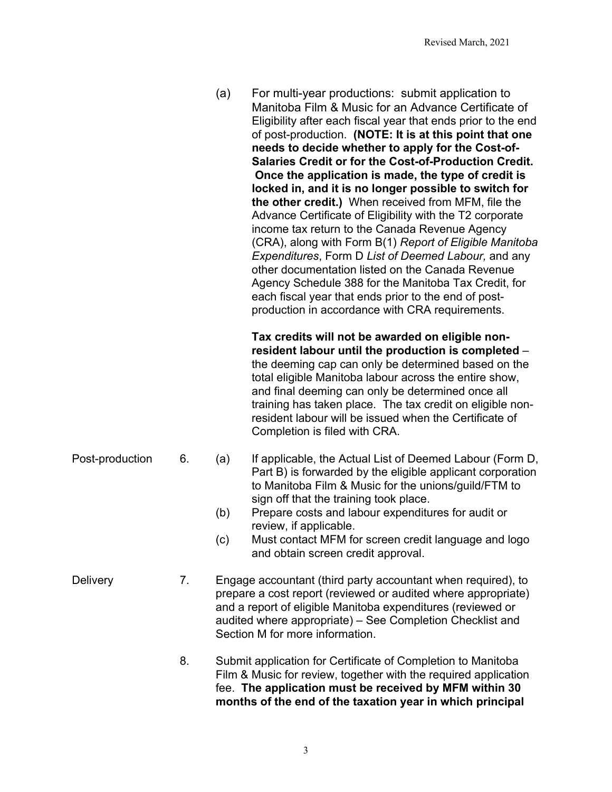(a) For multi-year productions: submit application to Manitoba Film & Music for an Advance Certificate of Eligibility after each fiscal year that ends prior to the end of post-production. **(NOTE: It is at this point that one needs to decide whether to apply for the Cost-of-Salaries Credit or for the Cost-of-Production Credit. Once the application is made, the type of credit is locked in, and it is no longer possible to switch for the other credit.)** When received from MFM, file the Advance Certificate of Eligibility with the T2 corporate income tax return to the Canada Revenue Agency (CRA), along with Form B(1) *Report of Eligible Manitoba Expenditures*, Form D *List of Deemed Labour,* and any other documentation listed on the Canada Revenue Agency Schedule 388 for the Manitoba Tax Credit, for each fiscal year that ends prior to the end of postproduction in accordance with CRA requirements.

> **Tax credits will not be awarded on eligible nonresident labour until the production is completed** – the deeming cap can only be determined based on the total eligible Manitoba labour across the entire show, and final deeming can only be determined once all training has taken place. The tax credit on eligible nonresident labour will be issued when the Certificate of Completion is filed with CRA.

- Post-production 6. (a) If applicable, the Actual List of Deemed Labour (Form D, Part B) is forwarded by the eligible applicant corporation to Manitoba Film & Music for the unions/guild/FTM to sign off that the training took place.
	- (b) Prepare costs and labour expenditures for audit or review, if applicable.
	- (c) Must contact MFM for screen credit language and logo and obtain screen credit approval.
- Delivery **7.** Engage accountant (third party accountant when required), to prepare a cost report (reviewed or audited where appropriate) and a report of eligible Manitoba expenditures (reviewed or audited where appropriate) – See Completion Checklist and Section M for more information.
	- 8. Submit application for Certificate of Completion to Manitoba Film & Music for review, together with the required application fee. **The application must be received by MFM within 30 months of the end of the taxation year in which principal**

3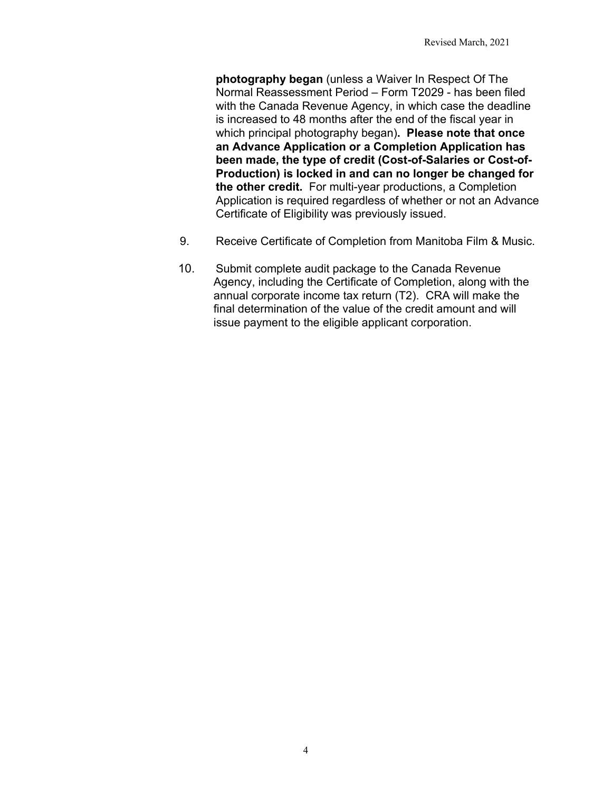**photography began** (unless a Waiver In Respect Of The Normal Reassessment Period – Form T2029 - has been filed with the Canada Revenue Agency, in which case the deadline is increased to 48 months after the end of the fiscal year in which principal photography began)**. Please note that once an Advance Application or a Completion Application has been made, the type of credit (Cost-of-Salaries or Cost-of-Production) is locked in and can no longer be changed for the other credit.** For multi-year productions, a Completion Application is required regardless of whether or not an Advance Certificate of Eligibility was previously issued.

- 9. Receive Certificate of Completion from Manitoba Film & Music.
- 10. Submit complete audit package to the Canada Revenue Agency, including the Certificate of Completion, along with the annual corporate income tax return (T2). CRA will make the final determination of the value of the credit amount and will issue payment to the eligible applicant corporation.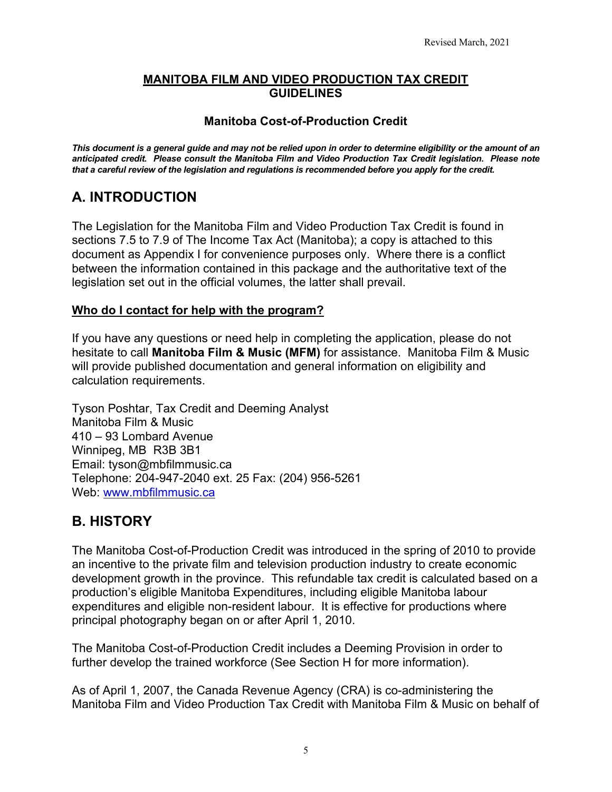#### **MANITOBA FILM AND VIDEO PRODUCTION TAX CREDIT GUIDELINES**

### **Manitoba Cost-of-Production Credit**

*This document is a general guide and may not be relied upon in order to determine eligibility or the amount of an anticipated credit. Please consult the Manitoba Film and Video Production Tax Credit legislation. Please note that a careful review of the legislation and regulations is recommended before you apply for the credit.* 

# <span id="page-4-0"></span>**A. INTRODUCTION**

The Legislation for the Manitoba Film and Video Production Tax Credit is found in sections 7.5 to 7.9 of The Income Tax Act (Manitoba); a copy is attached to this document as Appendix I for convenience purposes only. Where there is a conflict between the information contained in this package and the authoritative text of the legislation set out in the official volumes, the latter shall prevail.

### **Who do I contact for help with the program?**

If you have any questions or need help in completing the application, please do not hesitate to call **Manitoba Film & Music (MFM)** for assistance. Manitoba Film & Music will provide published documentation and general information on eligibility and calculation requirements.

Tyson Poshtar, Tax Credit and Deeming Analyst Manitoba Film & Music 410 – 93 Lombard Avenue Winnipeg, MB R3B 3B1 Email: tyson@mbfilmmusic.ca Telephone: 204-947-2040 ext. 25 Fax: (204) 956-5261 Web: [www.mbfilmmusic.ca](http://www.mbfilmmusic.ca/)

# <span id="page-4-1"></span>**B. HISTORY**

The Manitoba Cost-of-Production Credit was introduced in the spring of 2010 to provide an incentive to the private film and television production industry to create economic development growth in the province. This refundable tax credit is calculated based on a production's eligible Manitoba Expenditures, including eligible Manitoba labour expenditures and eligible non-resident labour. It is effective for productions where principal photography began on or after April 1, 2010.

The Manitoba Cost-of-Production Credit includes a Deeming Provision in order to further develop the trained workforce (See Section H for more information).

As of April 1, 2007, the Canada Revenue Agency (CRA) is co-administering the Manitoba Film and Video Production Tax Credit with Manitoba Film & Music on behalf of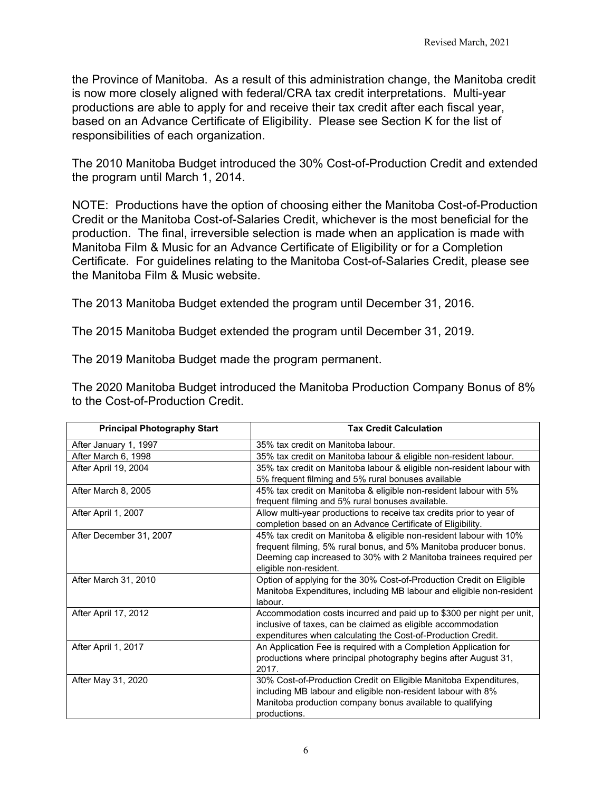the Province of Manitoba. As a result of this administration change, the Manitoba credit is now more closely aligned with federal/CRA tax credit interpretations. Multi-year productions are able to apply for and receive their tax credit after each fiscal year, based on an Advance Certificate of Eligibility. Please see Section K for the list of responsibilities of each organization.

The 2010 Manitoba Budget introduced the 30% Cost-of-Production Credit and extended the program until March 1, 2014.

NOTE: Productions have the option of choosing either the Manitoba Cost-of-Production Credit or the Manitoba Cost-of-Salaries Credit, whichever is the most beneficial for the production. The final, irreversible selection is made when an application is made with Manitoba Film & Music for an Advance Certificate of Eligibility or for a Completion Certificate. For guidelines relating to the Manitoba Cost-of-Salaries Credit, please see the Manitoba Film & Music website.

The 2013 Manitoba Budget extended the program until December 31, 2016.

The 2015 Manitoba Budget extended the program until December 31, 2019.

The 2019 Manitoba Budget made the program permanent.

The 2020 Manitoba Budget introduced the Manitoba Production Company Bonus of 8% to the Cost-of-Production Credit.

| <b>Principal Photography Start</b> | <b>Tax Credit Calculation</b>                                         |
|------------------------------------|-----------------------------------------------------------------------|
| After January 1, 1997              | 35% tax credit on Manitoba labour.                                    |
| After March 6, 1998                | 35% tax credit on Manitoba labour & eligible non-resident labour.     |
| After April 19, 2004               | 35% tax credit on Manitoba labour & eligible non-resident labour with |
|                                    | 5% frequent filming and 5% rural bonuses available                    |
| After March 8, 2005                | 45% tax credit on Manitoba & eligible non-resident labour with 5%     |
|                                    | frequent filming and 5% rural bonuses available.                      |
| After April 1, 2007                | Allow multi-year productions to receive tax credits prior to year of  |
|                                    | completion based on an Advance Certificate of Eligibility.            |
| After December 31, 2007            | 45% tax credit on Manitoba & eligible non-resident labour with 10%    |
|                                    | frequent filming, 5% rural bonus, and 5% Manitoba producer bonus.     |
|                                    | Deeming cap increased to 30% with 2 Manitoba trainees required per    |
|                                    | eligible non-resident.                                                |
| After March 31, 2010               | Option of applying for the 30% Cost-of-Production Credit on Eligible  |
|                                    | Manitoba Expenditures, including MB labour and eligible non-resident  |
|                                    | labour.                                                               |
| After April 17, 2012               | Accommodation costs incurred and paid up to \$300 per night per unit, |
|                                    | inclusive of taxes, can be claimed as eligible accommodation          |
|                                    | expenditures when calculating the Cost-of-Production Credit.          |
| After April 1, 2017                | An Application Fee is required with a Completion Application for      |
|                                    | productions where principal photography begins after August 31,       |
|                                    | 2017.                                                                 |
| After May 31, 2020                 | 30% Cost-of-Production Credit on Eligible Manitoba Expenditures,      |
|                                    | including MB labour and eligible non-resident labour with 8%          |
|                                    | Manitoba production company bonus available to qualifying             |
|                                    | productions.                                                          |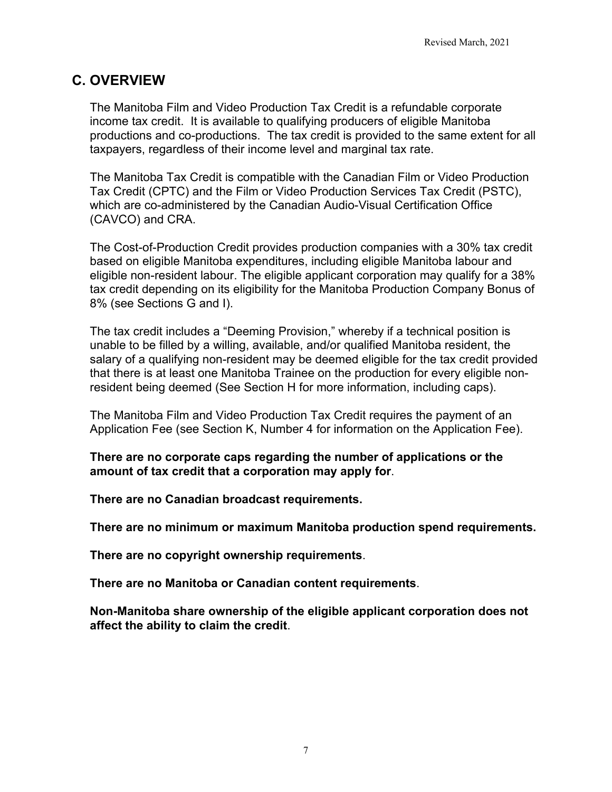# <span id="page-6-0"></span>**C. OVERVIEW**

The Manitoba Film and Video Production Tax Credit is a refundable corporate income tax credit. It is available to qualifying producers of eligible Manitoba productions and co-productions. The tax credit is provided to the same extent for all taxpayers, regardless of their income level and marginal tax rate.

The Manitoba Tax Credit is compatible with the Canadian Film or Video Production Tax Credit (CPTC) and the Film or Video Production Services Tax Credit (PSTC), which are co-administered by the Canadian Audio-Visual Certification Office (CAVCO) and CRA.

The Cost-of-Production Credit provides production companies with a 30% tax credit based on eligible Manitoba expenditures, including eligible Manitoba labour and eligible non-resident labour. The eligible applicant corporation may qualify for a 38% tax credit depending on its eligibility for the Manitoba Production Company Bonus of 8% (see Sections G and I).

The tax credit includes a "Deeming Provision," whereby if a technical position is unable to be filled by a willing, available, and/or qualified Manitoba resident, the salary of a qualifying non-resident may be deemed eligible for the tax credit provided that there is at least one Manitoba Trainee on the production for every eligible nonresident being deemed (See Section H for more information, including caps).

The Manitoba Film and Video Production Tax Credit requires the payment of an Application Fee (see Section K, Number 4 for information on the Application Fee).

**There are no corporate caps regarding the number of applications or the amount of tax credit that a corporation may apply for**.

**There are no Canadian broadcast requirements.**

**There are no minimum or maximum Manitoba production spend requirements.** 

**There are no copyright ownership requirements**.

**There are no Manitoba or Canadian content requirements**.

**Non-Manitoba share ownership of the eligible applicant corporation does not affect the ability to claim the credit**.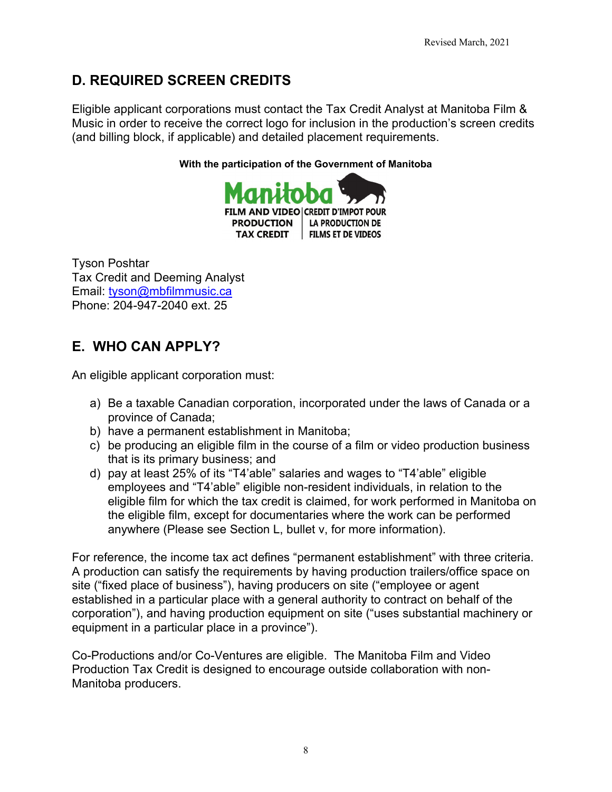# <span id="page-7-0"></span>**D. REQUIRED SCREEN CREDITS**

Eligible applicant corporations must contact the Tax Credit Analyst at Manitoba Film & Music in order to receive the correct logo for inclusion in the production's screen credits (and billing block, if applicable) and detailed placement requirements.

**With the participation of the Government of Manitoba**



Tyson Poshtar Tax Credit and Deeming Analyst Email: [tyson@mbfilmmusic.ca](mailto:tyson@mbfilmmusic.ca) Phone: 204-947-2040 ext. 25

# <span id="page-7-1"></span>**E. WHO CAN APPLY?**

An eligible applicant corporation must:

- a) Be a taxable Canadian corporation, incorporated under the laws of Canada or a province of Canada;
- b) have a permanent establishment in Manitoba;
- c) be producing an eligible film in the course of a film or video production business that is its primary business; and
- d) pay at least 25% of its "T4'able" salaries and wages to "T4'able" eligible employees and "T4'able" eligible non-resident individuals, in relation to the eligible film for which the tax credit is claimed, for work performed in Manitoba on the eligible film, except for documentaries where the work can be performed anywhere (Please see Section L, bullet v, for more information).

For reference, the income tax act defines "permanent establishment" with three criteria. A production can satisfy the requirements by having production trailers/office space on site ("fixed place of business"), having producers on site ("employee or agent established in a particular place with a general authority to contract on behalf of the corporation"), and having production equipment on site ("uses substantial machinery or equipment in a particular place in a province").

Co-Productions and/or Co-Ventures are eligible. The Manitoba Film and Video Production Tax Credit is designed to encourage outside collaboration with non-Manitoba producers.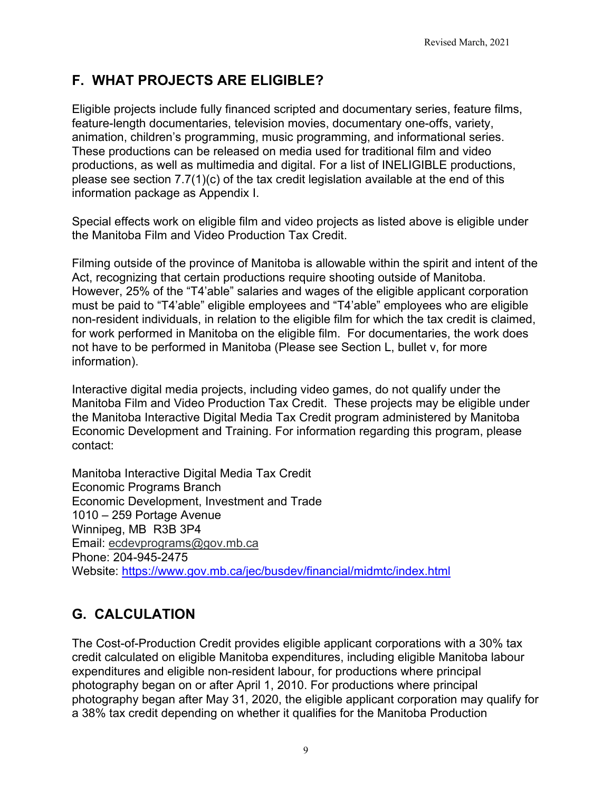# <span id="page-8-0"></span>**F. WHAT PROJECTS ARE ELIGIBLE?**

Eligible projects include fully financed scripted and documentary series, feature films, feature-length documentaries, television movies, documentary one-offs, variety, animation, children's programming, music programming, and informational series. These productions can be released on media used for traditional film and video productions, as well as multimedia and digital. For a list of INELIGIBLE productions, please see section 7.7(1)(c) of the tax credit legislation available at the end of this information package as Appendix I.

Special effects work on eligible film and video projects as listed above is eligible under the Manitoba Film and Video Production Tax Credit.

Filming outside of the province of Manitoba is allowable within the spirit and intent of the Act, recognizing that certain productions require shooting outside of Manitoba. However, 25% of the "T4'able" salaries and wages of the eligible applicant corporation must be paid to "T4'able" eligible employees and "T4'able" employees who are eligible non-resident individuals, in relation to the eligible film for which the tax credit is claimed, for work performed in Manitoba on the eligible film. For documentaries, the work does not have to be performed in Manitoba (Please see Section L, bullet v, for more information).

Interactive digital media projects, including video games, do not qualify under the Manitoba Film and Video Production Tax Credit. These projects may be eligible under the Manitoba Interactive Digital Media Tax Credit program administered by Manitoba Economic Development and Training. For information regarding this program, please contact:

Manitoba Interactive Digital Media Tax Credit Economic Programs Branch Economic Development, Investment and Trade 1010 – 259 Portage Avenue Winnipeg, MB R3B 3P4 Email: [ecdevprograms@gov.mb.ca](mailto:ecdevprograms@gov.mb.ca) Phone: 204-945-2475 Website: <https://www.gov.mb.ca/jec/busdev/financial/midmtc/index.html>

# <span id="page-8-1"></span>**G. CALCULATION**

The Cost-of-Production Credit provides eligible applicant corporations with a 30% tax credit calculated on eligible Manitoba expenditures, including eligible Manitoba labour expenditures and eligible non-resident labour, for productions where principal photography began on or after April 1, 2010. For productions where principal photography began after May 31, 2020, the eligible applicant corporation may qualify for a 38% tax credit depending on whether it qualifies for the Manitoba Production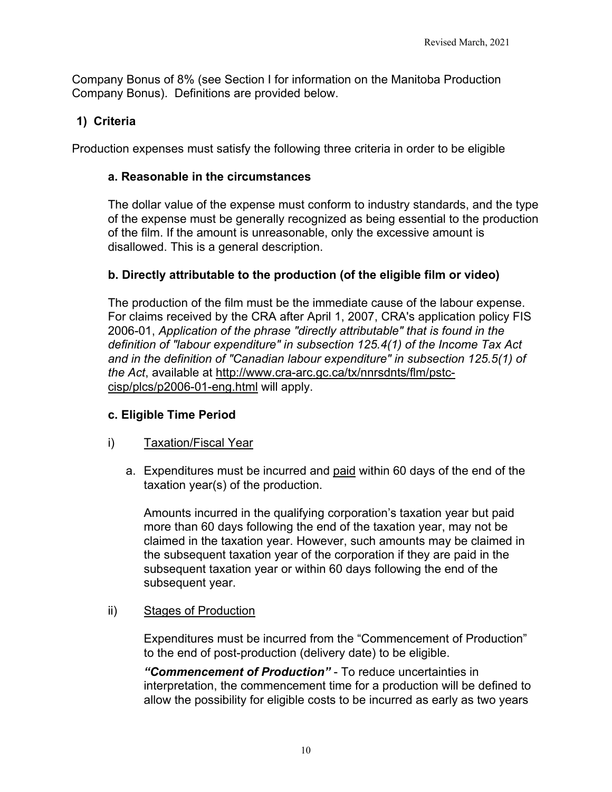Company Bonus of 8% (see Section I for information on the Manitoba Production Company Bonus). Definitions are provided below.

# <span id="page-9-0"></span>**1) Criteria**

Production expenses must satisfy the following three criteria in order to be eligible

### <span id="page-9-1"></span>**a. Reasonable in the circumstances**

The dollar value of the expense must conform to industry standards, and the type of the expense must be generally recognized as being essential to the production of the film. If the amount is unreasonable, only the excessive amount is disallowed. This is a general description.

## <span id="page-9-2"></span>**b. Directly attributable to the production (of the eligible film or video)**

The production of the film must be the immediate cause of the labour expense. For claims received by the CRA after April 1, 2007, CRA's application policy FIS 2006-01, *Application of the phrase "directly attributable" that is found in the definition of "labour expenditure" in subsection 125.4(1) of the Income Tax Act and in the definition of "Canadian labour expenditure" in subsection 125.5(1) of the Act*, available at http://www.cra-arc.gc.ca/tx/nnrsdnts/flm/pstccisp/plcs/p2006-01-eng.html will apply.

### <span id="page-9-3"></span>**c. Eligible Time Period**

### i) Taxation/Fiscal Year

a. Expenditures must be incurred and paid within 60 days of the end of the taxation year(s) of the production.

Amounts incurred in the qualifying corporation's taxation year but paid more than 60 days following the end of the taxation year, may not be claimed in the taxation year. However, such amounts may be claimed in the subsequent taxation year of the corporation if they are paid in the subsequent taxation year or within 60 days following the end of the subsequent year.

### ii) Stages of Production

Expenditures must be incurred from the "Commencement of Production" to the end of post-production (delivery date) to be eligible.

*"Commencement of Production"* - To reduce uncertainties in interpretation, the commencement time for a production will be defined to allow the possibility for eligible costs to be incurred as early as two years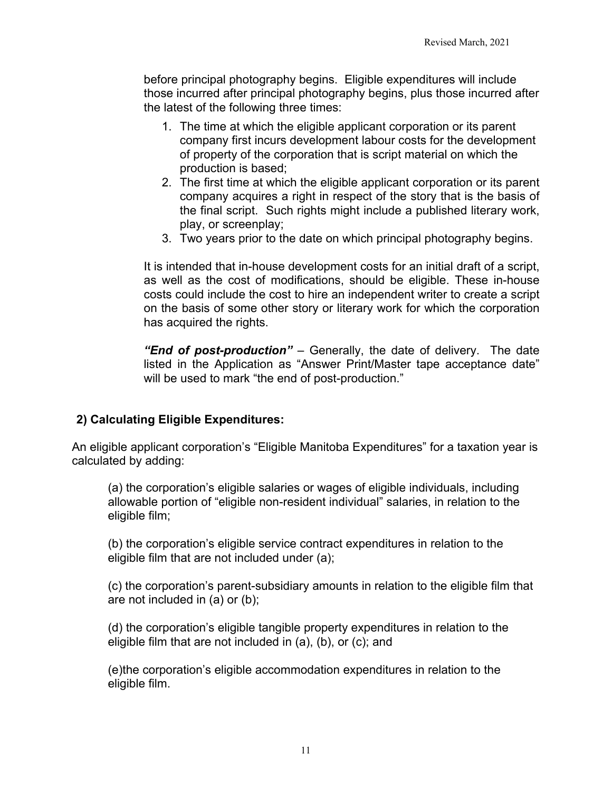before principal photography begins. Eligible expenditures will include those incurred after principal photography begins, plus those incurred after the latest of the following three times:

- 1. The time at which the eligible applicant corporation or its parent company first incurs development labour costs for the development of property of the corporation that is script material on which the production is based;
- 2. The first time at which the eligible applicant corporation or its parent company acquires a right in respect of the story that is the basis of the final script. Such rights might include a published literary work, play, or screenplay;
- 3. Two years prior to the date on which principal photography begins.

It is intended that in-house development costs for an initial draft of a script, as well as the cost of modifications, should be eligible. These in-house costs could include the cost to hire an independent writer to create a script on the basis of some other story or literary work for which the corporation has acquired the rights.

*"End of post-production"* – Generally, the date of delivery. The date listed in the Application as "Answer Print/Master tape acceptance date" will be used to mark "the end of post-production."

### <span id="page-10-0"></span>**2) Calculating Eligible Expenditures:**

An eligible applicant corporation's "Eligible Manitoba Expenditures" for a taxation year is calculated by adding:

(a) the corporation's eligible salaries or wages of eligible individuals, including allowable portion of "eligible non-resident individual" salaries, in relation to the eligible film;

(b) the corporation's eligible service contract expenditures in relation to the eligible film that are not included under (a);

(c) the corporation's parent-subsidiary amounts in relation to the eligible film that are not included in (a) or (b);

(d) the corporation's eligible tangible property expenditures in relation to the eligible film that are not included in (a), (b), or (c); and

(e)the corporation's eligible accommodation expenditures in relation to the eligible film.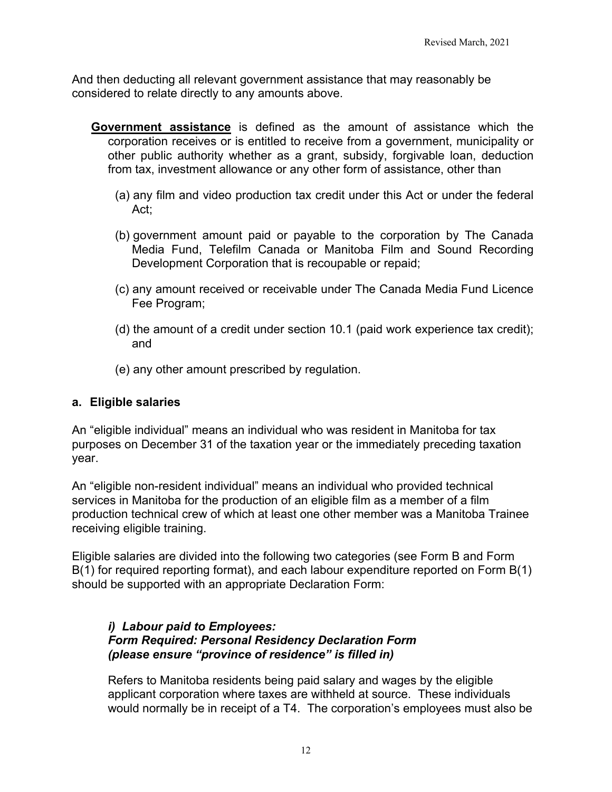And then deducting all relevant government assistance that may reasonably be considered to relate directly to any amounts above.

- **Government assistance** is defined as the amount of assistance which the corporation receives or is entitled to receive from a government, municipality or other public authority whether as a grant, subsidy, forgivable loan, deduction from tax, investment allowance or any other form of assistance, other than
	- (a) any film and video production tax credit under this Act or under the federal Act;
	- (b) government amount paid or payable to the corporation by The Canada Media Fund, Telefilm Canada or Manitoba Film and Sound Recording Development Corporation that is recoupable or repaid;
	- (c) any amount received or receivable under The Canada Media Fund Licence Fee Program;
	- (d) the amount of a credit under section 10.1 (paid work experience tax credit); and
	- (e) any other amount prescribed by regulation.

### <span id="page-11-0"></span>**a. Eligible salaries**

An "eligible individual" means an individual who was resident in Manitoba for tax purposes on December 31 of the taxation year or the immediately preceding taxation year.

An "eligible non-resident individual" means an individual who provided technical services in Manitoba for the production of an eligible film as a member of a film production technical crew of which at least one other member was a Manitoba Trainee receiving eligible training.

Eligible salaries are divided into the following two categories (see Form B and Form B(1) for required reporting format), and each labour expenditure reported on Form B(1) should be supported with an appropriate Declaration Form:

#### *i) Labour paid to Employees: Form Required: Personal Residency Declaration Form (please ensure "province of residence" is filled in)*

Refers to Manitoba residents being paid salary and wages by the eligible applicant corporation where taxes are withheld at source. These individuals would normally be in receipt of a T4. The corporation's employees must also be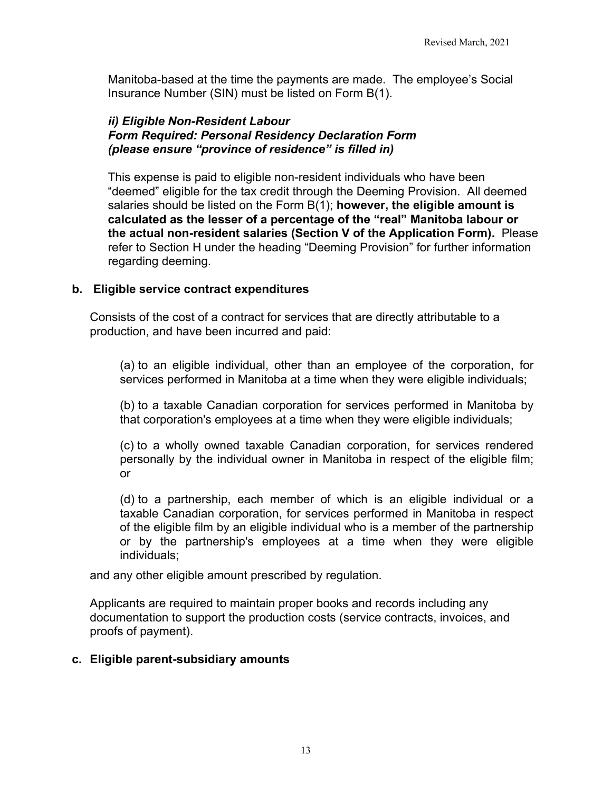Manitoba-based at the time the payments are made. The employee's Social Insurance Number (SIN) must be listed on Form B(1).

### *ii) Eligible Non-Resident Labour Form Required: Personal Residency Declaration Form (please ensure "province of residence" is filled in)*

This expense is paid to eligible non-resident individuals who have been "deemed" eligible for the tax credit through the Deeming Provision. All deemed salaries should be listed on the Form B(1); **however, the eligible amount is calculated as the lesser of a percentage of the "real" Manitoba labour or the actual non-resident salaries (Section V of the Application Form).** Please refer to Section H under the heading "Deeming Provision" for further information regarding deeming.

### <span id="page-12-0"></span>**b. Eligible service contract expenditures**

Consists of the cost of a contract for services that are directly attributable to a production, and have been incurred and paid:

(a) to an eligible individual, other than an employee of the corporation, for services performed in Manitoba at a time when they were eligible individuals;

(b) to a taxable Canadian corporation for services performed in Manitoba by that corporation's employees at a time when they were eligible individuals;

(c) to a wholly owned taxable Canadian corporation, for services rendered personally by the individual owner in Manitoba in respect of the eligible film; or

(d) to a partnership, each member of which is an eligible individual or a taxable Canadian corporation, for services performed in Manitoba in respect of the eligible film by an eligible individual who is a member of the partnership or by the partnership's employees at a time when they were eligible individuals;

and any other eligible amount prescribed by regulation.

Applicants are required to maintain proper books and records including any documentation to support the production costs (service contracts, invoices, and proofs of payment).

### <span id="page-12-1"></span>**c. Eligible parent-subsidiary amounts**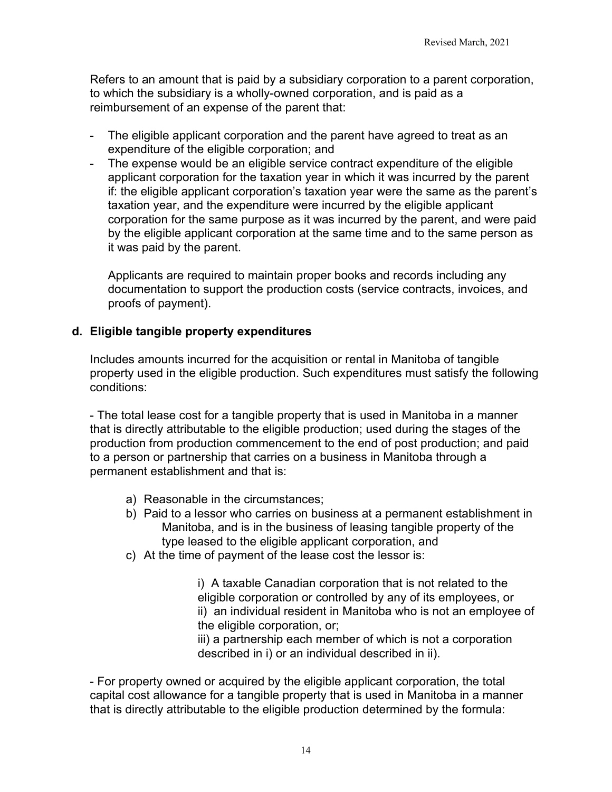Refers to an amount that is paid by a subsidiary corporation to a parent corporation, to which the subsidiary is a wholly-owned corporation, and is paid as a reimbursement of an expense of the parent that:

- The eligible applicant corporation and the parent have agreed to treat as an expenditure of the eligible corporation; and
- The expense would be an eligible service contract expenditure of the eligible applicant corporation for the taxation year in which it was incurred by the parent if: the eligible applicant corporation's taxation year were the same as the parent's taxation year, and the expenditure were incurred by the eligible applicant corporation for the same purpose as it was incurred by the parent, and were paid by the eligible applicant corporation at the same time and to the same person as it was paid by the parent.

Applicants are required to maintain proper books and records including any documentation to support the production costs (service contracts, invoices, and proofs of payment).

### <span id="page-13-0"></span>**d. Eligible tangible property expenditures**

Includes amounts incurred for the acquisition or rental in Manitoba of tangible property used in the eligible production. Such expenditures must satisfy the following conditions:

- The total lease cost for a tangible property that is used in Manitoba in a manner that is directly attributable to the eligible production; used during the stages of the production from production commencement to the end of post production; and paid to a person or partnership that carries on a business in Manitoba through a permanent establishment and that is:

- a) Reasonable in the circumstances;
- b) Paid to a lessor who carries on business at a permanent establishment in Manitoba, and is in the business of leasing tangible property of the type leased to the eligible applicant corporation, and
- c) At the time of payment of the lease cost the lessor is:

i) A taxable Canadian corporation that is not related to the eligible corporation or controlled by any of its employees, or ii) an individual resident in Manitoba who is not an employee of the eligible corporation, or;

iii) a partnership each member of which is not a corporation described in i) or an individual described in ii).

- For property owned or acquired by the eligible applicant corporation, the total capital cost allowance for a tangible property that is used in Manitoba in a manner that is directly attributable to the eligible production determined by the formula: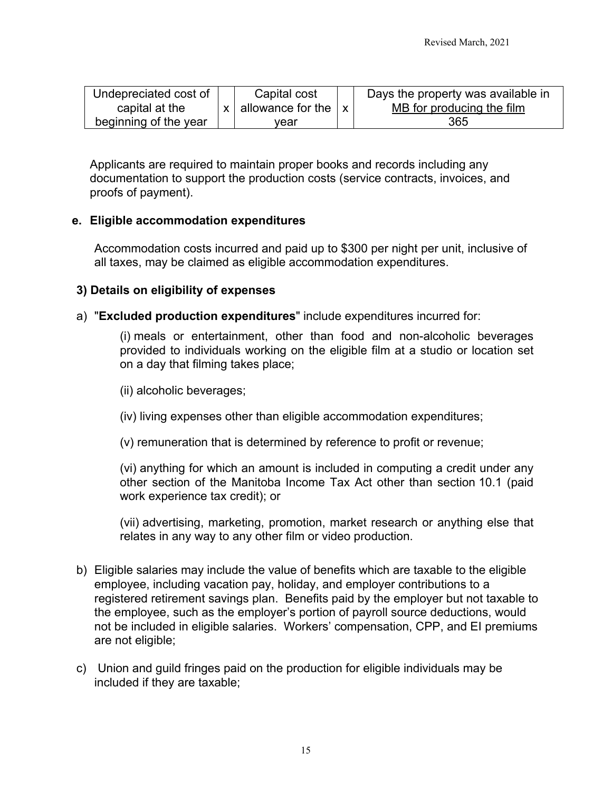| Undepreciated cost of | Capital cost                             | Days the property was available in |
|-----------------------|------------------------------------------|------------------------------------|
| capital at the        | $x \mid$ allowance for the $\mid x \mid$ | MB for producing the film          |
| beginning of the year | vear                                     | 365                                |

Applicants are required to maintain proper books and records including any documentation to support the production costs (service contracts, invoices, and proofs of payment).

### <span id="page-14-0"></span>**e. Eligible accommodation expenditures**

Accommodation costs incurred and paid up to \$300 per night per unit, inclusive of all taxes, may be claimed as eligible accommodation expenditures.

### <span id="page-14-1"></span>**3) Details on eligibility of expenses**

a) "**Excluded production expenditures**" include expenditures incurred for:

(i) meals or entertainment, other than food and non-alcoholic beverages provided to individuals working on the eligible film at a studio or location set on a day that filming takes place;

(ii) alcoholic beverages;

- (iv) living expenses other than eligible accommodation expenditures;
- (v) remuneration that is determined by reference to profit or revenue;

(vi) anything for which an amount is included in computing a credit under any other section of the Manitoba Income Tax Act other than section 10.1 (paid work experience tax credit); or

(vii) advertising, marketing, promotion, market research or anything else that relates in any way to any other film or video production.

- b) Eligible salaries may include the value of benefits which are taxable to the eligible employee, including vacation pay, holiday, and employer contributions to a registered retirement savings plan. Benefits paid by the employer but not taxable to the employee, such as the employer's portion of payroll source deductions, would not be included in eligible salaries. Workers' compensation, CPP, and EI premiums are not eligible;
- c) Union and guild fringes paid on the production for eligible individuals may be included if they are taxable;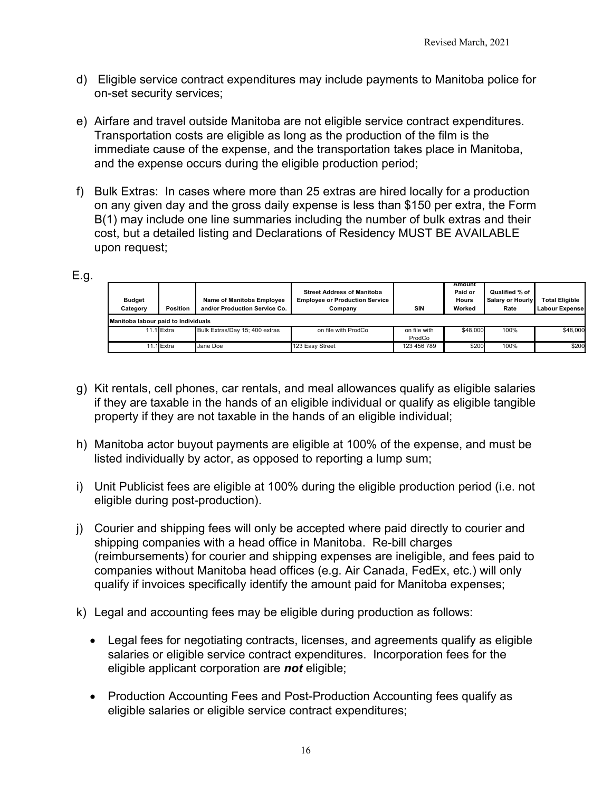- d) Eligible service contract expenditures may include payments to Manitoba police for on-set security services;
- e) Airfare and travel outside Manitoba are not eligible service contract expenditures. Transportation costs are eligible as long as the production of the film is the immediate cause of the expense, and the transportation takes place in Manitoba, and the expense occurs during the eligible production period;
- f) Bulk Extras: In cases where more than 25 extras are hired locally for a production on any given day and the gross daily expense is less than \$150 per extra, the Form B(1) may include one line summaries including the number of bulk extras and their cost, but a detailed listing and Declarations of Residency MUST BE AVAILABLE upon request;

### E.g.

| <b>Budget</b><br>Category           | <b>Position</b> | Name of Manitoba Employee<br>and/or Production Service Co. | <b>Street Address of Manitoba</b><br><b>Employee or Production Service</b><br>Company | SIN                    | Amount<br>Paid or<br><b>Hours</b><br>Worked | Qualified % of<br>Salary or Hourly<br>Rate | <b>Total Eligible</b><br>Labour Expense |  |
|-------------------------------------|-----------------|------------------------------------------------------------|---------------------------------------------------------------------------------------|------------------------|---------------------------------------------|--------------------------------------------|-----------------------------------------|--|
| Manitoba labour paid to Individuals |                 |                                                            |                                                                                       |                        |                                             |                                            |                                         |  |
|                                     | 11.1 Extra      | Bulk Extras/Day 15; 400 extras                             | on file with ProdCo                                                                   | on file with<br>ProdCo | \$48,000                                    | 100%                                       | \$48,000                                |  |
|                                     | .1Extra         | Jane Doe                                                   | 123 Easy Street                                                                       | 123 456 789            | \$200                                       | 100%                                       | \$200                                   |  |

- g) Kit rentals, cell phones, car rentals, and meal allowances qualify as eligible salaries if they are taxable in the hands of an eligible individual or qualify as eligible tangible property if they are not taxable in the hands of an eligible individual;
- h) Manitoba actor buyout payments are eligible at 100% of the expense, and must be listed individually by actor, as opposed to reporting a lump sum;
- i) Unit Publicist fees are eligible at 100% during the eligible production period (i.e. not eligible during post-production).
- j) Courier and shipping fees will only be accepted where paid directly to courier and shipping companies with a head office in Manitoba. Re-bill charges (reimbursements) for courier and shipping expenses are ineligible, and fees paid to companies without Manitoba head offices (e.g. Air Canada, FedEx, etc.) will only qualify if invoices specifically identify the amount paid for Manitoba expenses;
- k) Legal and accounting fees may be eligible during production as follows:
	- Legal fees for negotiating contracts, licenses, and agreements qualify as eligible salaries or eligible service contract expenditures. Incorporation fees for the eligible applicant corporation are *not* eligible;
	- Production Accounting Fees and Post-Production Accounting fees qualify as eligible salaries or eligible service contract expenditures;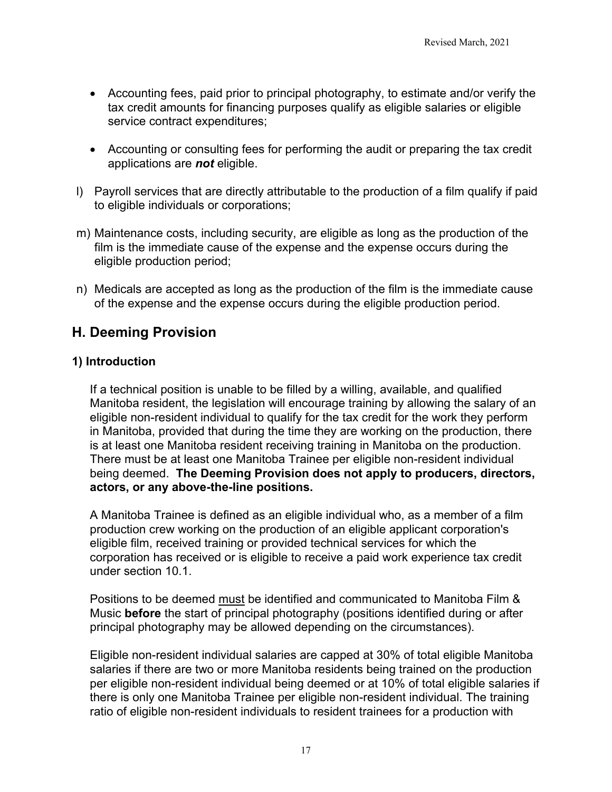- Accounting fees, paid prior to principal photography, to estimate and/or verify the tax credit amounts for financing purposes qualify as eligible salaries or eligible service contract expenditures;
- Accounting or consulting fees for performing the audit or preparing the tax credit applications are *not* eligible.
- l) Payroll services that are directly attributable to the production of a film qualify if paid to eligible individuals or corporations;
- m) Maintenance costs, including security, are eligible as long as the production of the film is the immediate cause of the expense and the expense occurs during the eligible production period;
- n) Medicals are accepted as long as the production of the film is the immediate cause of the expense and the expense occurs during the eligible production period.

# <span id="page-16-0"></span>**H. Deeming Provision**

### <span id="page-16-1"></span>**1) Introduction**

If a technical position is unable to be filled by a willing, available, and qualified Manitoba resident, the legislation will encourage training by allowing the salary of an eligible non-resident individual to qualify for the tax credit for the work they perform in Manitoba, provided that during the time they are working on the production, there is at least one Manitoba resident receiving training in Manitoba on the production. There must be at least one Manitoba Trainee per eligible non-resident individual being deemed. **The Deeming Provision does not apply to producers, directors, actors, or any above-the-line positions.**

A Manitoba Trainee is defined as an eligible individual who, as a member of a film production crew working on the production of an eligible applicant corporation's eligible film, received training or provided technical services for which the corporation has received or is eligible to receive a paid work experience tax credit under section 10.1.

Positions to be deemed must be identified and communicated to Manitoba Film & Music **before** the start of principal photography (positions identified during or after principal photography may be allowed depending on the circumstances).

Eligible non-resident individual salaries are capped at 30% of total eligible Manitoba salaries if there are two or more Manitoba residents being trained on the production per eligible non-resident individual being deemed or at 10% of total eligible salaries if there is only one Manitoba Trainee per eligible non-resident individual. The training ratio of eligible non-resident individuals to resident trainees for a production with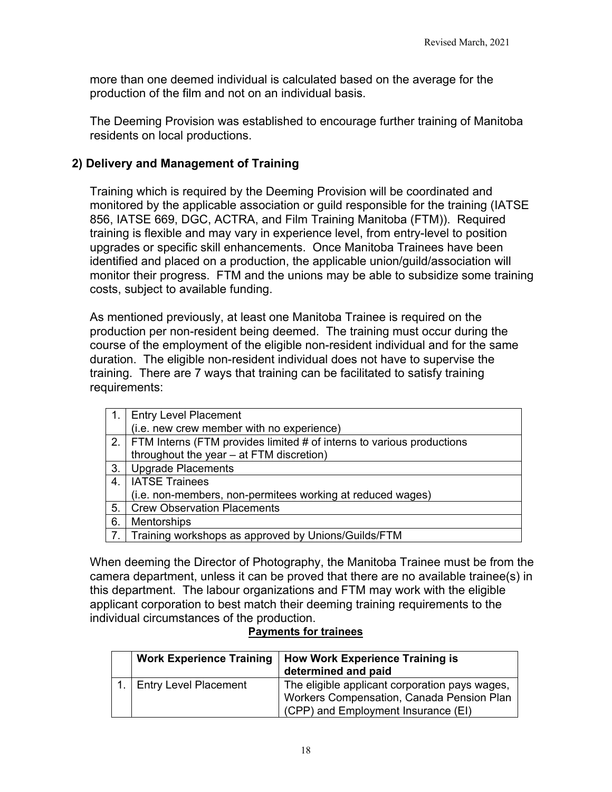more than one deemed individual is calculated based on the average for the production of the film and not on an individual basis.

The Deeming Provision was established to encourage further training of Manitoba residents on local productions.

### <span id="page-17-0"></span>**2) Delivery and Management of Training**

Training which is required by the Deeming Provision will be coordinated and monitored by the applicable association or guild responsible for the training (IATSE 856, IATSE 669, DGC, ACTRA, and Film Training Manitoba (FTM)). Required training is flexible and may vary in experience level, from entry-level to position upgrades or specific skill enhancements. Once Manitoba Trainees have been identified and placed on a production, the applicable union/guild/association will monitor their progress. FTM and the unions may be able to subsidize some training costs, subject to available funding.

As mentioned previously, at least one Manitoba Trainee is required on the production per non-resident being deemed. The training must occur during the course of the employment of the eligible non-resident individual and for the same duration. The eligible non-resident individual does not have to supervise the training. There are 7 ways that training can be facilitated to satisfy training requirements:

| $\mathbf{1}$ . | <b>Entry Level Placement</b>                                               |
|----------------|----------------------------------------------------------------------------|
|                | (i.e. new crew member with no experience)                                  |
|                | 2.   FTM Interns (FTM provides limited # of interns to various productions |
|                | throughout the year - at FTM discretion)                                   |
| 3.             | Upgrade Placements                                                         |
| 4.             | <b>IATSE Trainees</b>                                                      |
|                | (i.e. non-members, non-permitees working at reduced wages)                 |
| 5.             | <b>Crew Observation Placements</b>                                         |
| 6.             | Mentorships                                                                |
|                | 7. Training workshops as approved by Unions/Guilds/FTM                     |

When deeming the Director of Photography, the Manitoba Trainee must be from the camera department, unless it can be proved that there are no available trainee(s) in this department. The labour organizations and FTM may work with the eligible applicant corporation to best match their deeming training requirements to the individual circumstances of the production.

#### **Payments for trainees**

| <b>Work Experience Training</b> | How Work Experience Training is<br>determined and paid |
|---------------------------------|--------------------------------------------------------|
| <b>Entry Level Placement</b>    | The eligible applicant corporation pays wages,         |
|                                 | Workers Compensation, Canada Pension Plan              |
|                                 | (CPP) and Employment Insurance (EI)                    |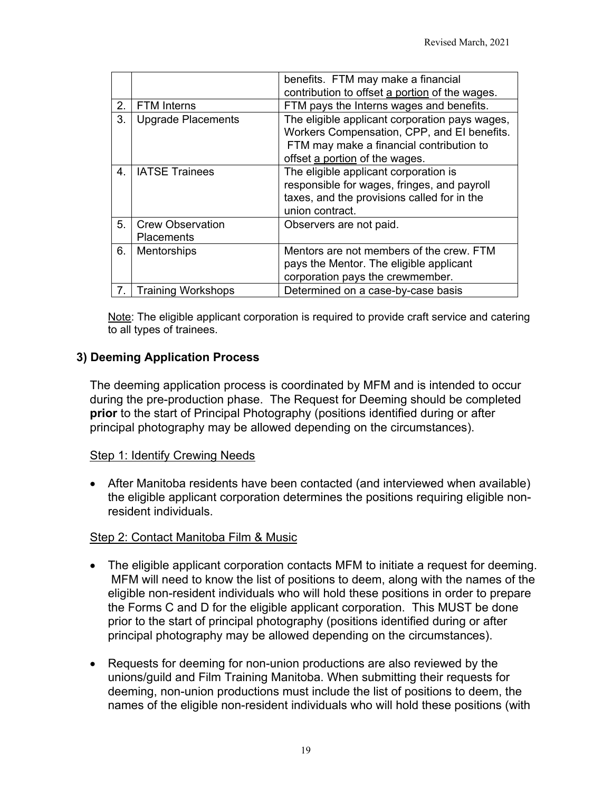|    |                                              | benefits. FTM may make a financial<br>contribution to offset a portion of the wages.                                                                                        |
|----|----------------------------------------------|-----------------------------------------------------------------------------------------------------------------------------------------------------------------------------|
| 2. | <b>FTM</b> Interns                           | FTM pays the Interns wages and benefits.                                                                                                                                    |
| 3. | <b>Upgrade Placements</b>                    | The eligible applicant corporation pays wages,<br>Workers Compensation, CPP, and El benefits.<br>FTM may make a financial contribution to<br>offset a portion of the wages. |
| 4. | <b>IATSE Trainees</b>                        | The eligible applicant corporation is<br>responsible for wages, fringes, and payroll<br>taxes, and the provisions called for in the<br>union contract.                      |
| 5. | <b>Crew Observation</b><br><b>Placements</b> | Observers are not paid.                                                                                                                                                     |
| 6. | Mentorships                                  | Mentors are not members of the crew. FTM<br>pays the Mentor. The eligible applicant<br>corporation pays the crewmember.                                                     |
|    | <b>Training Workshops</b>                    | Determined on a case-by-case basis                                                                                                                                          |

Note: The eligible applicant corporation is required to provide craft service and catering to all types of trainees.

## <span id="page-18-0"></span>**3) Deeming Application Process**

The deeming application process is coordinated by MFM and is intended to occur during the pre-production phase. The Request for Deeming should be completed **prior** to the start of Principal Photography (positions identified during or after principal photography may be allowed depending on the circumstances).

## Step 1: Identify Crewing Needs

• After Manitoba residents have been contacted (and interviewed when available) the eligible applicant corporation determines the positions requiring eligible nonresident individuals.

### Step 2: Contact Manitoba Film & Music

- The eligible applicant corporation contacts MFM to initiate a request for deeming. MFM will need to know the list of positions to deem, along with the names of the eligible non-resident individuals who will hold these positions in order to prepare the Forms C and D for the eligible applicant corporation. This MUST be done prior to the start of principal photography (positions identified during or after principal photography may be allowed depending on the circumstances).
- Requests for deeming for non-union productions are also reviewed by the unions/guild and Film Training Manitoba. When submitting their requests for deeming, non-union productions must include the list of positions to deem, the names of the eligible non-resident individuals who will hold these positions (with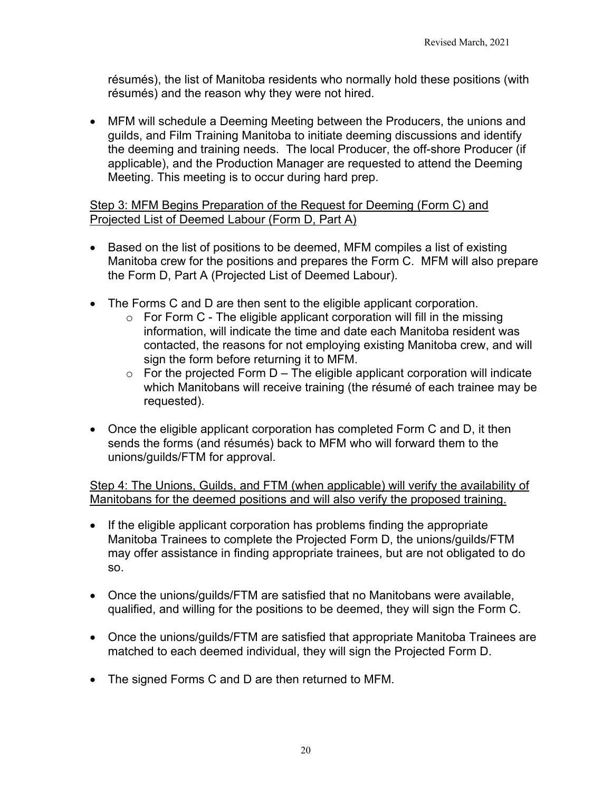résumés), the list of Manitoba residents who normally hold these positions (with résumés) and the reason why they were not hired.

• MFM will schedule a Deeming Meeting between the Producers, the unions and guilds, and Film Training Manitoba to initiate deeming discussions and identify the deeming and training needs. The local Producer, the off-shore Producer (if applicable), and the Production Manager are requested to attend the Deeming Meeting. This meeting is to occur during hard prep.

### Step 3: MFM Begins Preparation of the Request for Deeming (Form C) and Projected List of Deemed Labour (Form D, Part A)

- Based on the list of positions to be deemed, MFM compiles a list of existing Manitoba crew for the positions and prepares the Form C. MFM will also prepare the Form D, Part A (Projected List of Deemed Labour).
- The Forms C and D are then sent to the eligible applicant corporation.
	- $\circ$  For Form C The eligible applicant corporation will fill in the missing information, will indicate the time and date each Manitoba resident was contacted, the reasons for not employing existing Manitoba crew, and will sign the form before returning it to MFM.
	- $\circ$  For the projected Form D The eligible applicant corporation will indicate which Manitobans will receive training (the résumé of each trainee may be requested).
- Once the eligible applicant corporation has completed Form C and D, it then sends the forms (and résumés) back to MFM who will forward them to the unions/guilds/FTM for approval.

Step 4: The Unions, Guilds, and FTM (when applicable) will verify the availability of Manitobans for the deemed positions and will also verify the proposed training.

- If the eligible applicant corporation has problems finding the appropriate Manitoba Trainees to complete the Projected Form D, the unions/guilds/FTM may offer assistance in finding appropriate trainees, but are not obligated to do so.
- Once the unions/guilds/FTM are satisfied that no Manitobans were available, qualified, and willing for the positions to be deemed, they will sign the Form C.
- Once the unions/guilds/FTM are satisfied that appropriate Manitoba Trainees are matched to each deemed individual, they will sign the Projected Form D.
- The signed Forms C and D are then returned to MFM.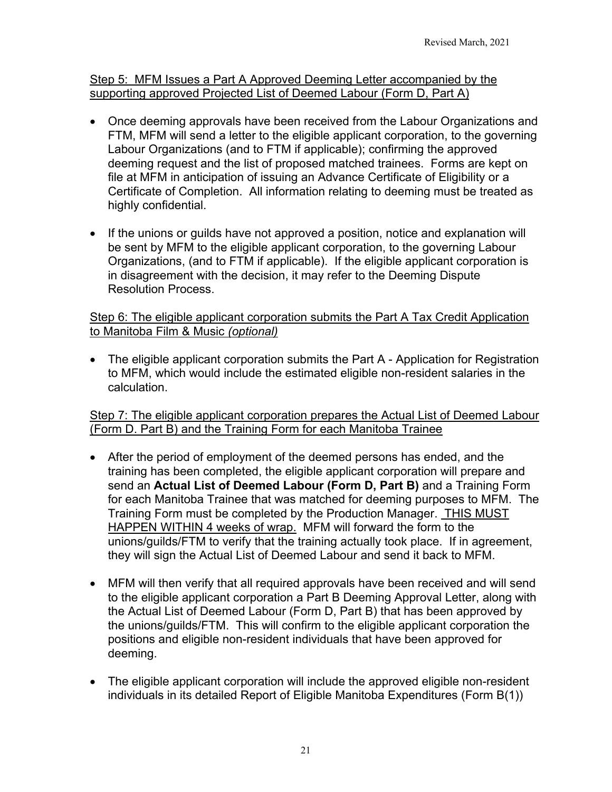### Step 5: MFM Issues a Part A Approved Deeming Letter accompanied by the supporting approved Projected List of Deemed Labour (Form D, Part A)

- Once deeming approvals have been received from the Labour Organizations and FTM, MFM will send a letter to the eligible applicant corporation, to the governing Labour Organizations (and to FTM if applicable); confirming the approved deeming request and the list of proposed matched trainees. Forms are kept on file at MFM in anticipation of issuing an Advance Certificate of Eligibility or a Certificate of Completion. All information relating to deeming must be treated as highly confidential.
- If the unions or guilds have not approved a position, notice and explanation will be sent by MFM to the eligible applicant corporation, to the governing Labour Organizations, (and to FTM if applicable). If the eligible applicant corporation is in disagreement with the decision, it may refer to the Deeming Dispute Resolution Process.

Step 6: The eligible applicant corporation submits the Part A Tax Credit Application to Manitoba Film & Music *(optional)*

• The eligible applicant corporation submits the Part A - Application for Registration to MFM, which would include the estimated eligible non-resident salaries in the calculation.

Step 7: The eligible applicant corporation prepares the Actual List of Deemed Labour (Form D. Part B) and the Training Form for each Manitoba Trainee

- After the period of employment of the deemed persons has ended, and the training has been completed, the eligible applicant corporation will prepare and send an **Actual List of Deemed Labour (Form D, Part B)** and a Training Form for each Manitoba Trainee that was matched for deeming purposes to MFM. The Training Form must be completed by the Production Manager. THIS MUST HAPPEN WITHIN 4 weeks of wrap. MFM will forward the form to the unions/guilds/FTM to verify that the training actually took place. If in agreement, they will sign the Actual List of Deemed Labour and send it back to MFM.
- MFM will then verify that all required approvals have been received and will send to the eligible applicant corporation a Part B Deeming Approval Letter, along with the Actual List of Deemed Labour (Form D, Part B) that has been approved by the unions/guilds/FTM. This will confirm to the eligible applicant corporation the positions and eligible non-resident individuals that have been approved for deeming.
- The eligible applicant corporation will include the approved eligible non-resident individuals in its detailed Report of Eligible Manitoba Expenditures (Form B(1))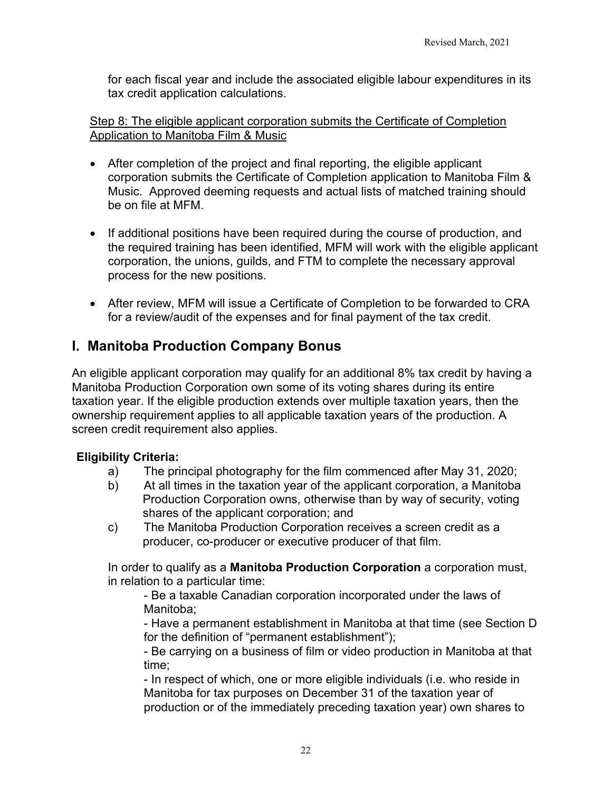for each fiscal year and include the associated eligible labour expenditures in its tax credit application calculations.

#### Step 8: The eligible applicant corporation submits the Certificate of Completion Application to Manitoba Film & Music

- After completion of the project and final reporting, the eligible applicant corporation submits the Certificate of Completion application to Manitoba Film & Music. Approved deeming requests and actual lists of matched training should be on file at MFM.
- If additional positions have been required during the course of production, and the required training has been identified, MFM will work with the eligible applicant corporation, the unions, guilds, and FTM to complete the necessary approval process for the new positions.
- After review, MFM will issue a Certificate of Completion to be forwarded to CRA for a review/audit of the expenses and for final payment of the tax credit.

# <span id="page-21-0"></span>**I. Manitoba Production Company Bonus**

An eligible applicant corporation may qualify for an additional 8% tax credit by having a Manitoba Production Corporation own some of its voting shares during its entire taxation year. If the eligible production extends over multiple taxation years, then the ownership requirement applies to all applicable taxation years of the production. A screen credit requirement also applies.

## <span id="page-21-1"></span>**Eligibility Criteria:**

- a) The principal photography for the film commenced after May 31, 2020;
- b) At all times in the taxation year of the applicant corporation, a Manitoba Production Corporation owns, otherwise than by way of security, voting shares of the applicant corporation; and
- c) The Manitoba Production Corporation receives a screen credit as a producer, co-producer or executive producer of that film.

In order to qualify as a **Manitoba Production Corporation** a corporation must, in relation to a particular time:

- Be a taxable Canadian corporation incorporated under the laws of Manitoba;

- Have a permanent establishment in Manitoba at that time (see Section D for the definition of "permanent establishment");

- Be carrying on a business of film or video production in Manitoba at that time;

- In respect of which, one or more eligible individuals (i.e. who reside in Manitoba for tax purposes on December 31 of the taxation year of production or of the immediately preceding taxation year) own shares to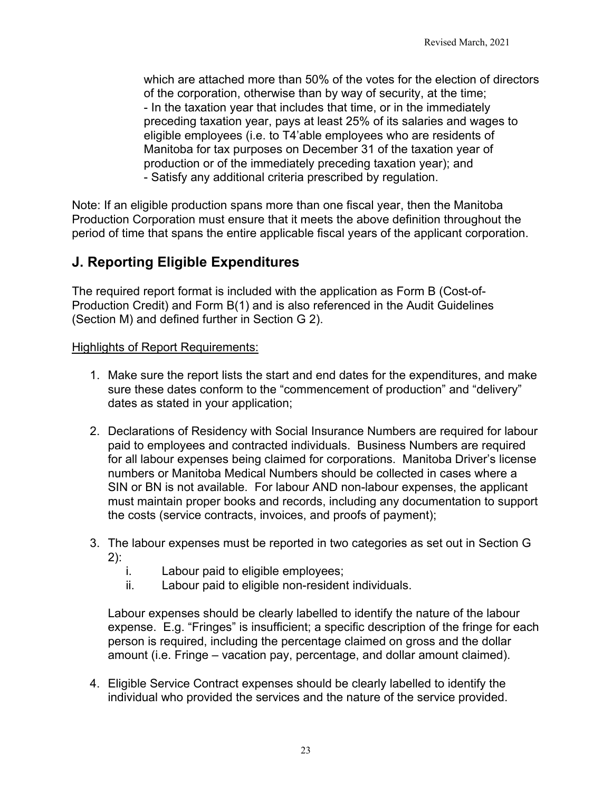which are attached more than 50% of the votes for the election of directors of the corporation, otherwise than by way of security, at the time; - In the taxation year that includes that time, or in the immediately preceding taxation year, pays at least 25% of its salaries and wages to eligible employees (i.e. to T4'able employees who are residents of Manitoba for tax purposes on December 31 of the taxation year of production or of the immediately preceding taxation year); and - Satisfy any additional criteria prescribed by regulation.

Note: If an eligible production spans more than one fiscal year, then the Manitoba Production Corporation must ensure that it meets the above definition throughout the period of time that spans the entire applicable fiscal years of the applicant corporation.

# <span id="page-22-0"></span>**J. Reporting Eligible Expenditures**

The required report format is included with the application as Form B (Cost-of-Production Credit) and Form B(1) and is also referenced in the Audit Guidelines (Section M) and defined further in Section G 2).

### Highlights of Report Requirements:

- 1. Make sure the report lists the start and end dates for the expenditures, and make sure these dates conform to the "commencement of production" and "delivery" dates as stated in your application;
- 2. Declarations of Residency with Social Insurance Numbers are required for labour paid to employees and contracted individuals. Business Numbers are required for all labour expenses being claimed for corporations. Manitoba Driver's license numbers or Manitoba Medical Numbers should be collected in cases where a SIN or BN is not available. For labour AND non-labour expenses, the applicant must maintain proper books and records, including any documentation to support the costs (service contracts, invoices, and proofs of payment);
- 3. The labour expenses must be reported in two categories as set out in Section G 2):
	- i. Labour paid to eligible employees;
	- ii. Labour paid to eligible non-resident individuals.

Labour expenses should be clearly labelled to identify the nature of the labour expense. E.g. "Fringes" is insufficient; a specific description of the fringe for each person is required, including the percentage claimed on gross and the dollar amount (i.e. Fringe – vacation pay, percentage, and dollar amount claimed).

4. Eligible Service Contract expenses should be clearly labelled to identify the individual who provided the services and the nature of the service provided.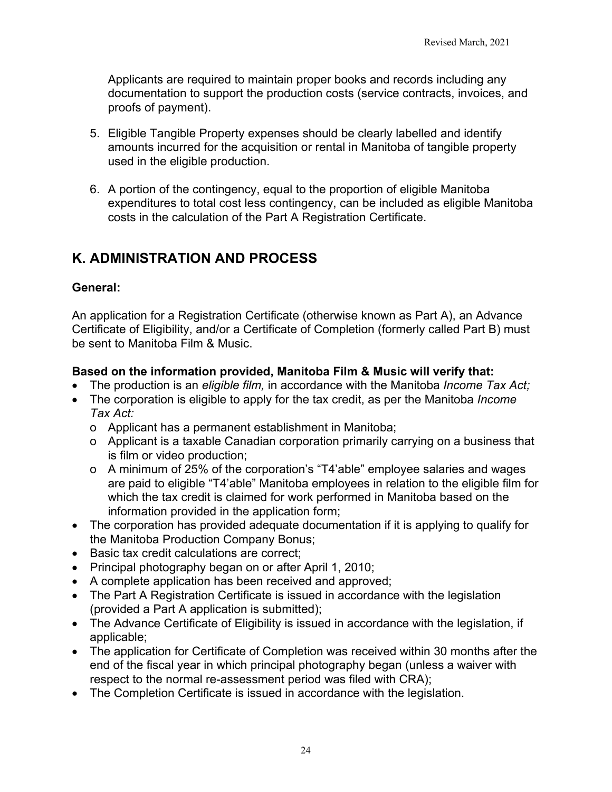Applicants are required to maintain proper books and records including any documentation to support the production costs (service contracts, invoices, and proofs of payment).

- 5. Eligible Tangible Property expenses should be clearly labelled and identify amounts incurred for the acquisition or rental in Manitoba of tangible property used in the eligible production.
- 6. A portion of the contingency, equal to the proportion of eligible Manitoba expenditures to total cost less contingency, can be included as eligible Manitoba costs in the calculation of the Part A Registration Certificate.

# <span id="page-23-0"></span>**K. ADMINISTRATION AND PROCESS**

### **General:**

An application for a Registration Certificate (otherwise known as Part A), an Advance Certificate of Eligibility, and/or a Certificate of Completion (formerly called Part B) must be sent to Manitoba Film & Music.

### **Based on the information provided, Manitoba Film & Music will verify that:**

- The production is an *eligible film,* in accordance with the Manitoba *Income Tax Act;*
- The corporation is eligible to apply for the tax credit, as per the Manitoba *Income Tax Act:*
	- o Applicant has a permanent establishment in Manitoba;
	- o Applicant is a taxable Canadian corporation primarily carrying on a business that is film or video production;
	- o A minimum of 25% of the corporation's "T4'able" employee salaries and wages are paid to eligible "T4'able" Manitoba employees in relation to the eligible film for which the tax credit is claimed for work performed in Manitoba based on the information provided in the application form;
- The corporation has provided adequate documentation if it is applying to qualify for the Manitoba Production Company Bonus;
- Basic tax credit calculations are correct;
- Principal photography began on or after April 1, 2010;
- A complete application has been received and approved;
- The Part A Registration Certificate is issued in accordance with the legislation (provided a Part A application is submitted);
- The Advance Certificate of Eligibility is issued in accordance with the legislation, if applicable;
- The application for Certificate of Completion was received within 30 months after the end of the fiscal year in which principal photography began (unless a waiver with respect to the normal re-assessment period was filed with CRA);
- The Completion Certificate is issued in accordance with the legislation.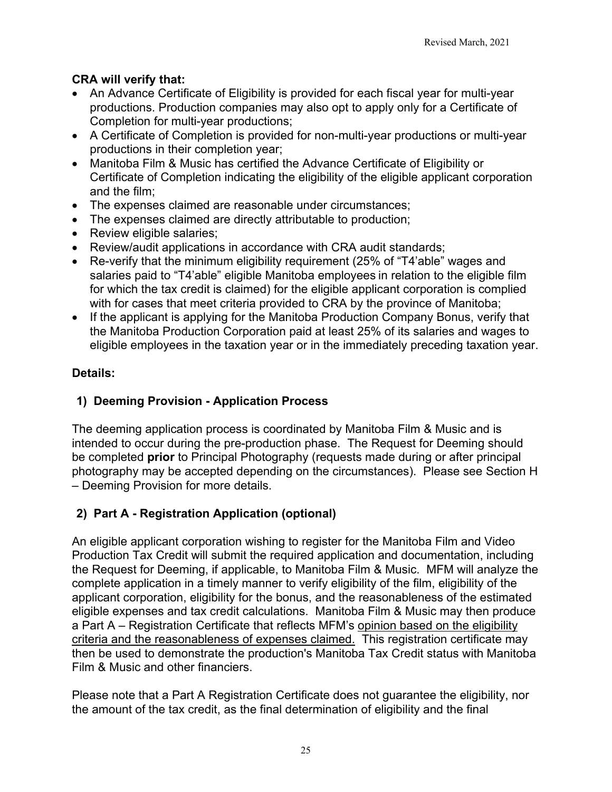# **CRA will verify that:**

- An Advance Certificate of Eligibility is provided for each fiscal year for multi-year productions. Production companies may also opt to apply only for a Certificate of Completion for multi-year productions;
- A Certificate of Completion is provided for non-multi-year productions or multi-year productions in their completion year;
- Manitoba Film & Music has certified the Advance Certificate of Eligibility or Certificate of Completion indicating the eligibility of the eligible applicant corporation and the film;
- The expenses claimed are reasonable under circumstances;
- The expenses claimed are directly attributable to production;
- Review eligible salaries;
- Review/audit applications in accordance with CRA audit standards;
- Re-verify that the minimum eligibility requirement (25% of "T4'able" wages and salaries paid to "T4'able" eligible Manitoba employees in relation to the eligible film for which the tax credit is claimed) for the eligible applicant corporation is complied with for cases that meet criteria provided to CRA by the province of Manitoba;
- If the applicant is applying for the Manitoba Production Company Bonus, verify that the Manitoba Production Corporation paid at least 25% of its salaries and wages to eligible employees in the taxation year or in the immediately preceding taxation year.

# **Details:**

## <span id="page-24-0"></span>**1) Deeming Provision - Application Process**

The deeming application process is coordinated by Manitoba Film & Music and is intended to occur during the pre-production phase. The Request for Deeming should be completed **prior** to Principal Photography (requests made during or after principal photography may be accepted depending on the circumstances). Please see Section H – Deeming Provision for more details.

# <span id="page-24-1"></span>**2) Part A - Registration Application (optional)**

An eligible applicant corporation wishing to register for the Manitoba Film and Video Production Tax Credit will submit the required application and documentation, including the Request for Deeming, if applicable, to Manitoba Film & Music. MFM will analyze the complete application in a timely manner to verify eligibility of the film, eligibility of the applicant corporation, eligibility for the bonus, and the reasonableness of the estimated eligible expenses and tax credit calculations. Manitoba Film & Music may then produce a Part A – Registration Certificate that reflects MFM's opinion based on the eligibility criteria and the reasonableness of expenses claimed. This registration certificate may then be used to demonstrate the production's Manitoba Tax Credit status with Manitoba Film & Music and other financiers.

Please note that a Part A Registration Certificate does not guarantee the eligibility, nor the amount of the tax credit, as the final determination of eligibility and the final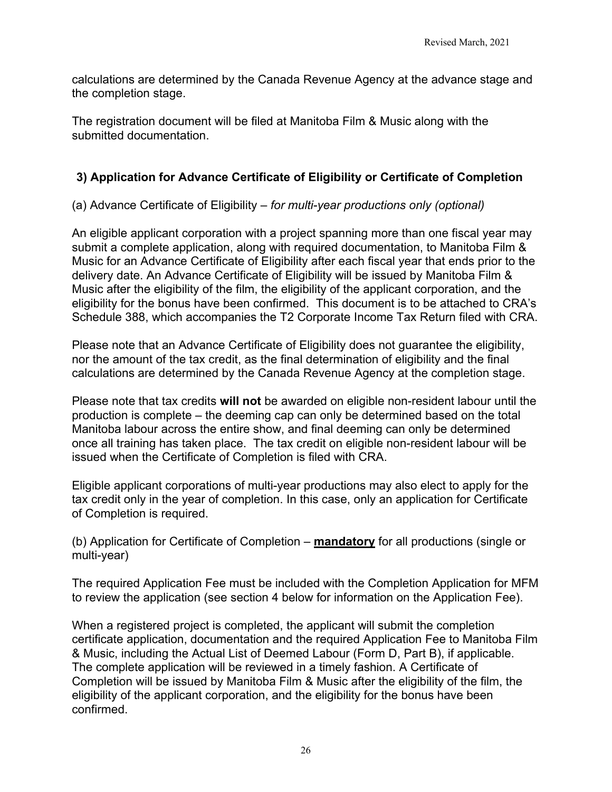calculations are determined by the Canada Revenue Agency at the advance stage and the completion stage.

The registration document will be filed at Manitoba Film & Music along with the submitted documentation.

# <span id="page-25-0"></span>**3) Application for Advance Certificate of Eligibility or Certificate of Completion**

(a) Advance Certificate of Eligibility – *for multi-year productions only (optional)*

An eligible applicant corporation with a project spanning more than one fiscal year may submit a complete application, along with required documentation, to Manitoba Film & Music for an Advance Certificate of Eligibility after each fiscal year that ends prior to the delivery date. An Advance Certificate of Eligibility will be issued by Manitoba Film & Music after the eligibility of the film, the eligibility of the applicant corporation, and the eligibility for the bonus have been confirmed. This document is to be attached to CRA's Schedule 388, which accompanies the T2 Corporate Income Tax Return filed with CRA.

Please note that an Advance Certificate of Eligibility does not guarantee the eligibility, nor the amount of the tax credit, as the final determination of eligibility and the final calculations are determined by the Canada Revenue Agency at the completion stage.

Please note that tax credits **will not** be awarded on eligible non-resident labour until the production is complete – the deeming cap can only be determined based on the total Manitoba labour across the entire show, and final deeming can only be determined once all training has taken place. The tax credit on eligible non-resident labour will be issued when the Certificate of Completion is filed with CRA.

Eligible applicant corporations of multi-year productions may also elect to apply for the tax credit only in the year of completion. In this case, only an application for Certificate of Completion is required.

<span id="page-25-1"></span>(b) Application for Certificate of Completion – **mandatory** for all productions (single or multi-year)

The required Application Fee must be included with the Completion Application for MFM to review the application (see section 4 below for information on the Application Fee).

When a registered project is completed, the applicant will submit the completion certificate application, documentation and the required Application Fee to Manitoba Film & Music, including the Actual List of Deemed Labour (Form D, Part B), if applicable. The complete application will be reviewed in a timely fashion. A Certificate of Completion will be issued by Manitoba Film & Music after the eligibility of the film, the eligibility of the applicant corporation, and the eligibility for the bonus have been confirmed.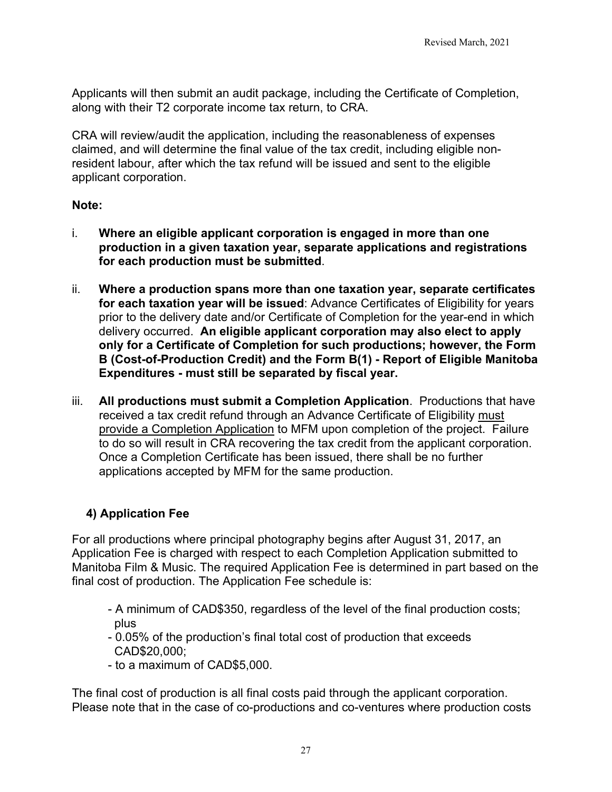Applicants will then submit an audit package, including the Certificate of Completion, along with their T2 corporate income tax return, to CRA.

CRA will review/audit the application, including the reasonableness of expenses claimed, and will determine the final value of the tax credit, including eligible nonresident labour, after which the tax refund will be issued and sent to the eligible applicant corporation.

### **Note:**

- i. **Where an eligible applicant corporation is engaged in more than one production in a given taxation year, separate applications and registrations for each production must be submitted**.
- ii. **Where a production spans more than one taxation year, separate certificates for each taxation year will be issued**: Advance Certificates of Eligibility for years prior to the delivery date and/or Certificate of Completion for the year-end in which delivery occurred. **An eligible applicant corporation may also elect to apply only for a Certificate of Completion for such productions; however, the Form B (Cost-of-Production Credit) and the Form B(1) - Report of Eligible Manitoba Expenditures - must still be separated by fiscal year.**
- iii. **All productions must submit a Completion Application**. Productions that have received a tax credit refund through an Advance Certificate of Eligibility must provide a Completion Application to MFM upon completion of the project. Failure to do so will result in CRA recovering the tax credit from the applicant corporation. Once a Completion Certificate has been issued, there shall be no further applications accepted by MFM for the same production.

## <span id="page-26-0"></span>**4) Application Fee**

For all productions where principal photography begins after August 31, 2017, an Application Fee is charged with respect to each Completion Application submitted to Manitoba Film & Music. The required Application Fee is determined in part based on the final cost of production. The Application Fee schedule is:

- A minimum of CAD\$350, regardless of the level of the final production costs; plus
- 0.05% of the production's final total cost of production that exceeds CAD\$20,000;
- to a maximum of CAD\$5,000.

The final cost of production is all final costs paid through the applicant corporation. Please note that in the case of co-productions and co-ventures where production costs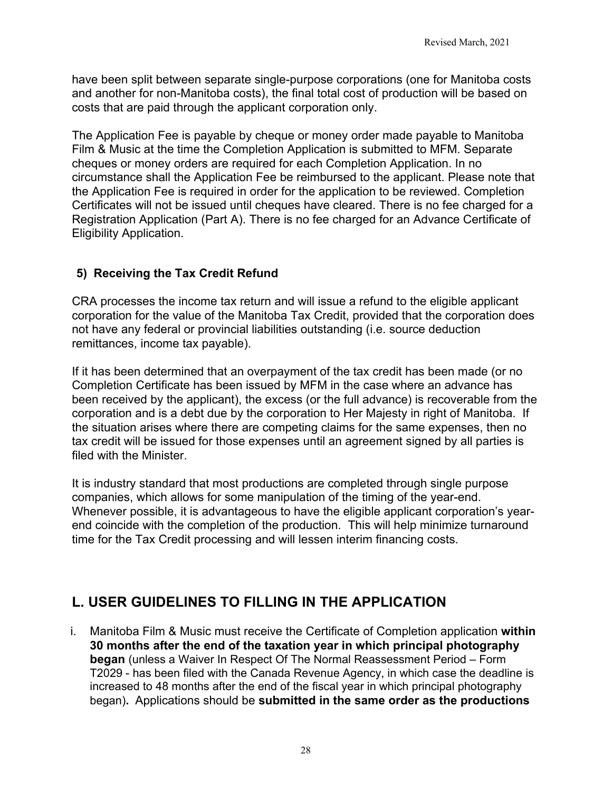have been split between separate single-purpose corporations (one for Manitoba costs and another for non-Manitoba costs), the final total cost of production will be based on costs that are paid through the applicant corporation only.

The Application Fee is payable by cheque or money order made payable to Manitoba Film & Music at the time the Completion Application is submitted to MFM. Separate cheques or money orders are required for each Completion Application. In no circumstance shall the Application Fee be reimbursed to the applicant. Please note that the Application Fee is required in order for the application to be reviewed. Completion Certificates will not be issued until cheques have cleared. There is no fee charged for a Registration Application (Part A). There is no fee charged for an Advance Certificate of Eligibility Application.

# <span id="page-27-0"></span>**5) Receiving the Tax Credit Refund**

CRA processes the income tax return and will issue a refund to the eligible applicant corporation for the value of the Manitoba Tax Credit, provided that the corporation does not have any federal or provincial liabilities outstanding (i.e. source deduction remittances, income tax payable).

If it has been determined that an overpayment of the tax credit has been made (or no Completion Certificate has been issued by MFM in the case where an advance has been received by the applicant), the excess (or the full advance) is recoverable from the corporation and is a debt due by the corporation to Her Majesty in right of Manitoba. If the situation arises where there are competing claims for the same expenses, then no tax credit will be issued for those expenses until an agreement signed by all parties is filed with the Minister.

It is industry standard that most productions are completed through single purpose companies, which allows for some manipulation of the timing of the year-end. Whenever possible, it is advantageous to have the eligible applicant corporation's yearend coincide with the completion of the production. This will help minimize turnaround time for the Tax Credit processing and will lessen interim financing costs.

# <span id="page-27-1"></span>**L. USER GUIDELINES TO FILLING IN THE APPLICATION**

i. Manitoba Film & Music must receive the Certificate of Completion application **within 30 months after the end of the taxation year in which principal photography began** (unless a Waiver In Respect Of The Normal Reassessment Period – Form T2029 - has been filed with the Canada Revenue Agency, in which case the deadline is increased to 48 months after the end of the fiscal year in which principal photography began)**.** Applications should be **submitted in the same order as the productions**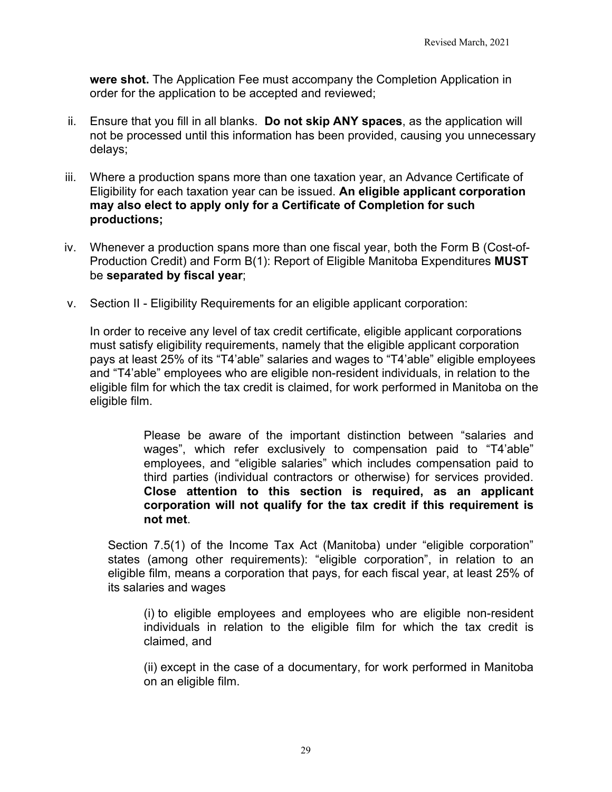**were shot.** The Application Fee must accompany the Completion Application in order for the application to be accepted and reviewed;

- ii. Ensure that you fill in all blanks. **Do not skip ANY spaces**, as the application will not be processed until this information has been provided, causing you unnecessary delays;
- iii. Where a production spans more than one taxation year, an Advance Certificate of Eligibility for each taxation year can be issued. **An eligible applicant corporation may also elect to apply only for a Certificate of Completion for such productions;**
- iv. Whenever a production spans more than one fiscal year, both the Form B (Cost-of-Production Credit) and Form B(1): Report of Eligible Manitoba Expenditures **MUST** be **separated by fiscal year**;
- v. Section II Eligibility Requirements for an eligible applicant corporation:

In order to receive any level of tax credit certificate, eligible applicant corporations must satisfy eligibility requirements, namely that the eligible applicant corporation pays at least 25% of its "T4'able" salaries and wages to "T4'able" eligible employees and "T4'able" employees who are eligible non-resident individuals, in relation to the eligible film for which the tax credit is claimed, for work performed in Manitoba on the eligible film.

> Please be aware of the important distinction between "salaries and wages", which refer exclusively to compensation paid to "T4'able" employees, and "eligible salaries" which includes compensation paid to third parties (individual contractors or otherwise) for services provided. **Close attention to this section is required, as an applicant corporation will not qualify for the tax credit if this requirement is not met**.

Section 7.5(1) of the Income Tax Act (Manitoba) under "eligible corporation" states (among other requirements): "eligible corporation", in relation to an eligible film, means a corporation that pays, for each fiscal year, at least 25% of its salaries and wages

(i) to eligible employees and employees who are eligible non-resident individuals in relation to the eligible film for which the tax credit is claimed, and

(ii) except in the case of a documentary, for work performed in Manitoba on an eligible film.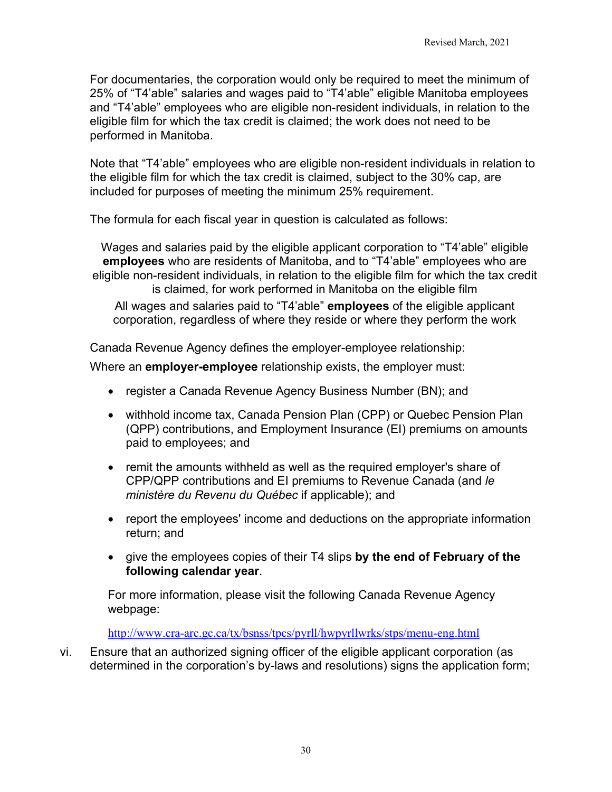For documentaries, the corporation would only be required to meet the minimum of 25% of "T4'able" salaries and wages paid to "T4'able" eligible Manitoba employees and "T4'able" employees who are eligible non-resident individuals, in relation to the eligible film for which the tax credit is claimed; the work does not need to be performed in Manitoba.

Note that "T4'able" employees who are eligible non-resident individuals in relation to the eligible film for which the tax credit is claimed, subject to the 30% cap, are included for purposes of meeting the minimum 25% requirement.

The formula for each fiscal year in question is calculated as follows:

Wages and salaries paid by the eligible applicant corporation to "T4'able" eligible **employees** who are residents of Manitoba, and to "T4'able" employees who are eligible non-resident individuals, in relation to the eligible film for which the tax credit is claimed, for work performed in Manitoba on the eligible film All wages and salaries paid to "T4'able" **employees** of the eligible applicant corporation, regardless of where they reside or where they perform the work

Canada Revenue Agency defines the employer-employee relationship:

Where an **employer-employee** relationship exists, the employer must:

- register a Canada Revenue Agency Business Number (BN); and
- withhold income tax, Canada Pension Plan (CPP) or Quebec Pension Plan (QPP) contributions, and Employment Insurance (EI) premiums on amounts paid to employees; and
- remit the amounts withheld as well as the required employer's share of CPP/QPP contributions and EI premiums to Revenue Canada (and *le ministère du Revenu du Québec* if applicable); and
- report the employees' income and deductions on the appropriate information return; and
- give the employees copies of their T4 slips **by the end of February of the following calendar year**.

For more information, please visit the following Canada Revenue Agency webpage:

<http://www.cra-arc.gc.ca/tx/bsnss/tpcs/pyrll/hwpyrllwrks/stps/menu-eng.html>

vi. Ensure that an authorized signing officer of the eligible applicant corporation (as determined in the corporation's by-laws and resolutions) signs the application form;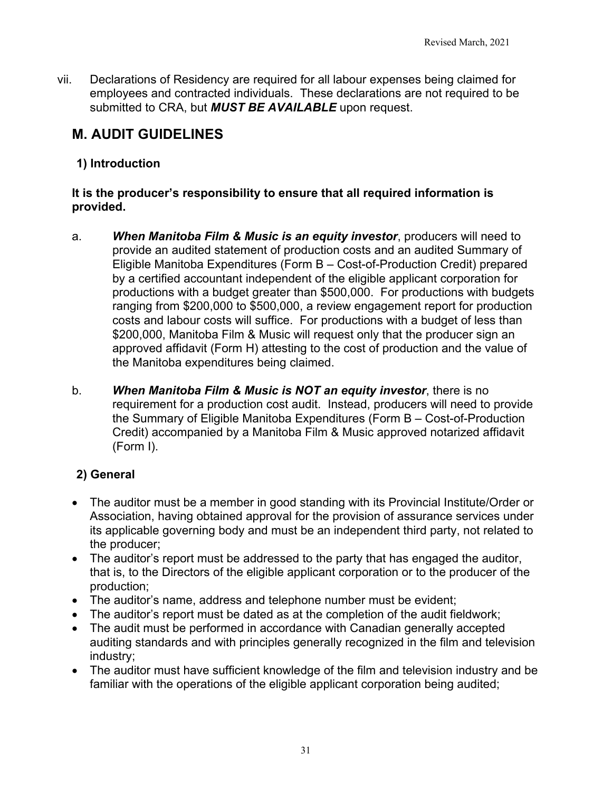vii. Declarations of Residency are required for all labour expenses being claimed for employees and contracted individuals. These declarations are not required to be submitted to CRA, but *MUST BE AVAILABLE* upon request.

# <span id="page-30-0"></span>**M. AUDIT GUIDELINES**

## <span id="page-30-1"></span>**1) Introduction**

### **It is the producer's responsibility to ensure that all required information is provided.**

- a. *When Manitoba Film & Music is an equity investor*, producers will need to provide an audited statement of production costs and an audited Summary of Eligible Manitoba Expenditures (Form B – Cost-of-Production Credit) prepared by a certified accountant independent of the eligible applicant corporation for productions with a budget greater than \$500,000. For productions with budgets ranging from \$200,000 to \$500,000, a review engagement report for production costs and labour costs will suffice. For productions with a budget of less than \$200,000, Manitoba Film & Music will request only that the producer sign an approved affidavit (Form H) attesting to the cost of production and the value of the Manitoba expenditures being claimed.
- b. *When Manitoba Film & Music is NOT an equity investor*, there is no requirement for a production cost audit. Instead, producers will need to provide the Summary of Eligible Manitoba Expenditures (Form B – Cost-of-Production Credit) accompanied by a Manitoba Film & Music approved notarized affidavit (Form I).

# <span id="page-30-2"></span>**2) General**

- The auditor must be a member in good standing with its Provincial Institute/Order or Association, having obtained approval for the provision of assurance services under its applicable governing body and must be an independent third party, not related to the producer;
- The auditor's report must be addressed to the party that has engaged the auditor, that is, to the Directors of the eligible applicant corporation or to the producer of the production;
- The auditor's name, address and telephone number must be evident;
- The auditor's report must be dated as at the completion of the audit fieldwork;
- The audit must be performed in accordance with Canadian generally accepted auditing standards and with principles generally recognized in the film and television industry;
- The auditor must have sufficient knowledge of the film and television industry and be familiar with the operations of the eligible applicant corporation being audited;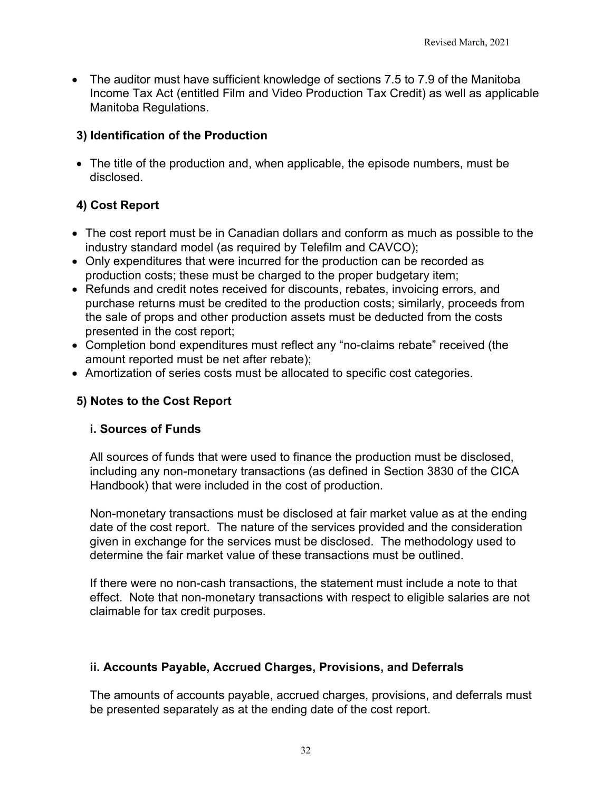• The auditor must have sufficient knowledge of sections 7.5 to 7.9 of the Manitoba Income Tax Act (entitled Film and Video Production Tax Credit) as well as applicable Manitoba Regulations.

## <span id="page-31-0"></span>**3) Identification of the Production**

• The title of the production and, when applicable, the episode numbers, must be disclosed.

# <span id="page-31-1"></span>**4) Cost Report**

- The cost report must be in Canadian dollars and conform as much as possible to the industry standard model (as required by Telefilm and CAVCO);
- Only expenditures that were incurred for the production can be recorded as production costs; these must be charged to the proper budgetary item;
- Refunds and credit notes received for discounts, rebates, invoicing errors, and purchase returns must be credited to the production costs; similarly, proceeds from the sale of props and other production assets must be deducted from the costs presented in the cost report;
- Completion bond expenditures must reflect any "no-claims rebate" received (the amount reported must be net after rebate);
- Amortization of series costs must be allocated to specific cost categories.

## <span id="page-31-2"></span>**5) Notes to the Cost Report**

### **i. Sources of Funds**

All sources of funds that were used to finance the production must be disclosed, including any non-monetary transactions (as defined in Section 3830 of the CICA Handbook) that were included in the cost of production.

Non-monetary transactions must be disclosed at fair market value as at the ending date of the cost report. The nature of the services provided and the consideration given in exchange for the services must be disclosed. The methodology used to determine the fair market value of these transactions must be outlined.

If there were no non-cash transactions, the statement must include a note to that effect. Note that non-monetary transactions with respect to eligible salaries are not claimable for tax credit purposes.

### **ii. Accounts Payable, Accrued Charges, Provisions, and Deferrals**

The amounts of accounts payable, accrued charges, provisions, and deferrals must be presented separately as at the ending date of the cost report.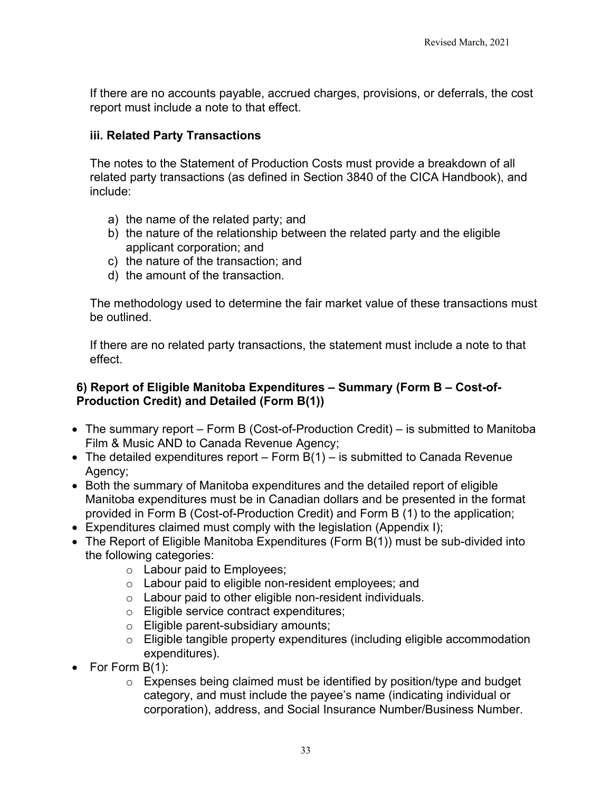If there are no accounts payable, accrued charges, provisions, or deferrals, the cost report must include a note to that effect.

### **iii. Related Party Transactions**

The notes to the Statement of Production Costs must provide a breakdown of all related party transactions (as defined in Section 3840 of the CICA Handbook), and include:

- a) the name of the related party; and
- b) the nature of the relationship between the related party and the eligible applicant corporation; and
- c) the nature of the transaction; and
- d) the amount of the transaction.

The methodology used to determine the fair market value of these transactions must be outlined.

If there are no related party transactions, the statement must include a note to that effect.

### <span id="page-32-0"></span>**6) Report of Eligible Manitoba Expenditures – Summary (Form B – Cost-of-Production Credit) and Detailed (Form B(1))**

- The summary report Form B (Cost-of-Production Credit) is submitted to Manitoba Film & Music AND to Canada Revenue Agency;
- The detailed expenditures report Form  $B(1)$  is submitted to Canada Revenue Agency;
- Both the summary of Manitoba expenditures and the detailed report of eligible Manitoba expenditures must be in Canadian dollars and be presented in the format provided in Form B (Cost-of-Production Credit) and Form B (1) to the application;
- Expenditures claimed must comply with the legislation (Appendix I);
- The Report of Eligible Manitoba Expenditures (Form B(1)) must be sub-divided into the following categories:
	- o Labour paid to Employees;
	- o Labour paid to eligible non-resident employees; and
	- $\circ$  Labour paid to other eligible non-resident individuals.
	- o Eligible service contract expenditures;
	- o Eligible parent-subsidiary amounts;
	- o Eligible tangible property expenditures (including eligible accommodation expenditures).
- For Form B(1):
	- $\circ$  Expenses being claimed must be identified by position/type and budget category, and must include the payee's name (indicating individual or corporation), address, and Social Insurance Number/Business Number.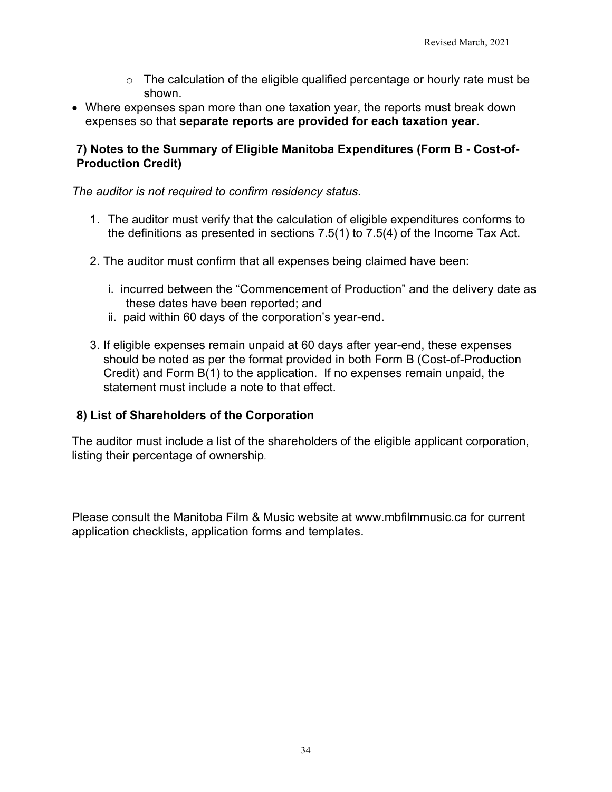- $\circ$  The calculation of the eligible qualified percentage or hourly rate must be shown.
- Where expenses span more than one taxation year, the reports must break down expenses so that **separate reports are provided for each taxation year.**

### <span id="page-33-0"></span>**7) Notes to the Summary of Eligible Manitoba Expenditures (Form B - Cost-of-Production Credit)**

### *The auditor is not required to confirm residency status.*

- 1. The auditor must verify that the calculation of eligible expenditures conforms to the definitions as presented in sections 7.5(1) to 7.5(4) of the Income Tax Act.
- 2. The auditor must confirm that all expenses being claimed have been:
	- i. incurred between the "Commencement of Production" and the delivery date as these dates have been reported; and
	- ii. paid within 60 days of the corporation's year-end.
- 3. If eligible expenses remain unpaid at 60 days after year-end, these expenses should be noted as per the format provided in both Form B (Cost-of-Production Credit) and Form B(1) to the application. If no expenses remain unpaid, the statement must include a note to that effect.

### <span id="page-33-1"></span>**8) List of Shareholders of the Corporation**

The auditor must include a list of the shareholders of the eligible applicant corporation, listing their percentage of ownership.

Please consult the Manitoba Film & Music website at [www.mbfilmmusic.ca](http://www.mbfilmmusic.ca/) for current application checklists, application forms and templates.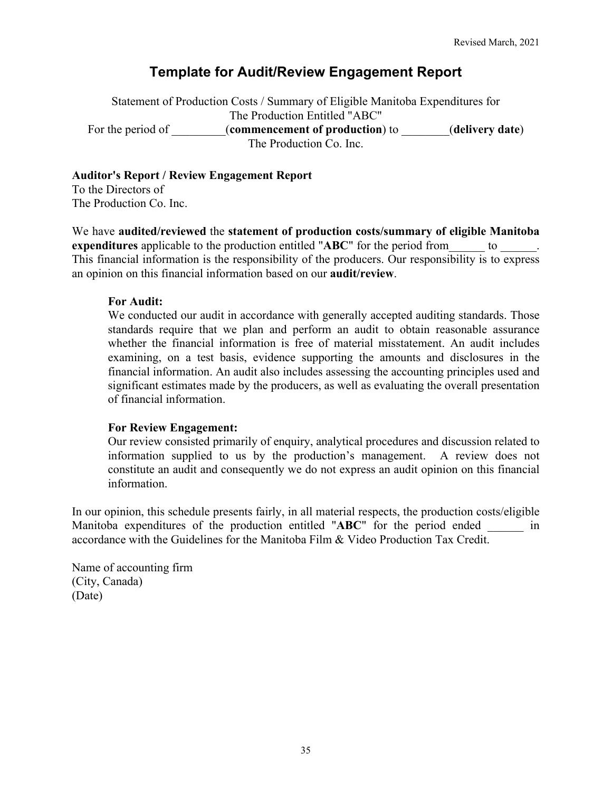# **Template for Audit/Review Engagement Report**

<span id="page-34-0"></span>Statement of Production Costs / Summary of Eligible Manitoba Expenditures for The Production Entitled "ABC" For the period of **commencement of production**) to *(delivery date)* The Production Co. Inc.

#### **Auditor's Report / Review Engagement Report**

To the Directors of The Production Co. Inc.

We have **audited/reviewed** the **statement of production costs/summary of eligible Manitoba expenditures** applicable to the production entitled "ABC" for the period from to This financial information is the responsibility of the producers. Our responsibility is to express an opinion on this financial information based on our **audit/review**.

#### **For Audit:**

We conducted our audit in accordance with generally accepted auditing standards. Those standards require that we plan and perform an audit to obtain reasonable assurance whether the financial information is free of material misstatement. An audit includes examining, on a test basis, evidence supporting the amounts and disclosures in the financial information. An audit also includes assessing the accounting principles used and significant estimates made by the producers, as well as evaluating the overall presentation of financial information.

#### **For Review Engagement:**

Our review consisted primarily of enquiry, analytical procedures and discussion related to information supplied to us by the production's management. A review does not constitute an audit and consequently we do not express an audit opinion on this financial information.

In our opinion, this schedule presents fairly, in all material respects, the production costs/eligible Manitoba expenditures of the production entitled "ABC" for the period ended \_\_\_\_ in accordance with the Guidelines for the Manitoba Film & Video Production Tax Credit.

Name of accounting firm (City, Canada) (Date)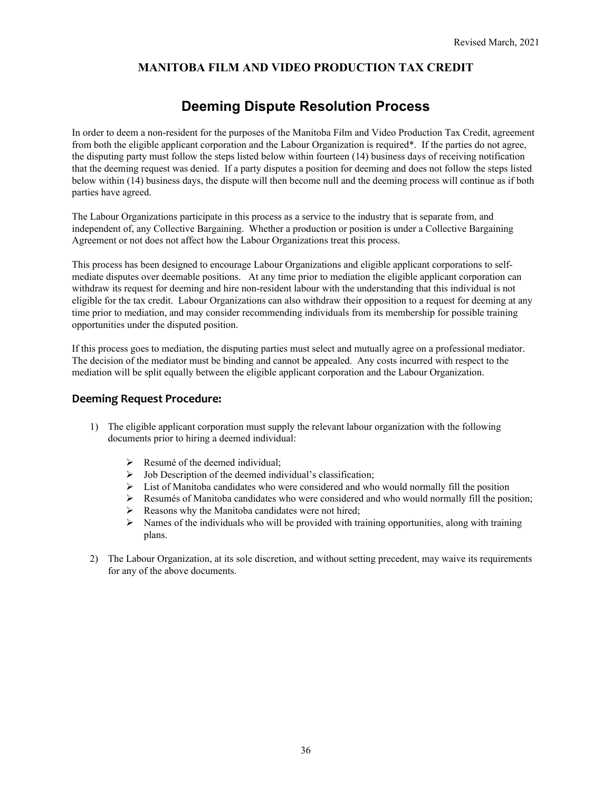#### **MANITOBA FILM AND VIDEO PRODUCTION TAX CREDIT**

# **Deeming Dispute Resolution Process**

<span id="page-35-0"></span>In order to deem a non-resident for the purposes of the Manitoba Film and Video Production Tax Credit, agreement from both the eligible applicant corporation and the Labour Organization is required\*. If the parties do not agree, the disputing party must follow the steps listed below within fourteen (14) business days of receiving notification that the deeming request was denied. If a party disputes a position for deeming and does not follow the steps listed below within (14) business days, the dispute will then become null and the deeming process will continue as if both parties have agreed.

The Labour Organizations participate in this process as a service to the industry that is separate from, and independent of, any Collective Bargaining. Whether a production or position is under a Collective Bargaining Agreement or not does not affect how the Labour Organizations treat this process.

This process has been designed to encourage Labour Organizations and eligible applicant corporations to selfmediate disputes over deemable positions. At any time prior to mediation the eligible applicant corporation can withdraw its request for deeming and hire non-resident labour with the understanding that this individual is not eligible for the tax credit. Labour Organizations can also withdraw their opposition to a request for deeming at any time prior to mediation, and may consider recommending individuals from its membership for possible training opportunities under the disputed position.

If this process goes to mediation, the disputing parties must select and mutually agree on a professional mediator. The decision of the mediator must be binding and cannot be appealed. Any costs incurred with respect to the mediation will be split equally between the eligible applicant corporation and the Labour Organization.

#### **Deeming Request Procedure:**

- 1) The eligible applicant corporation must supply the relevant labour organization with the following documents prior to hiring a deemed individual:
	- $\triangleright$  Resumé of the deemed individual:
	- $\triangleright$  Job Description of the deemed individual's classification;
	- $\triangleright$  List of Manitoba candidates who were considered and who would normally fill the position
	- $\triangleright$  Resumés of Manitoba candidates who were considered and who would normally fill the position;
	- $\triangleright$  Reasons why the Manitoba candidates were not hired;
	- $\triangleright$  Names of the individuals who will be provided with training opportunities, along with training plans.
- 2) The Labour Organization, at its sole discretion, and without setting precedent, may waive its requirements for any of the above documents.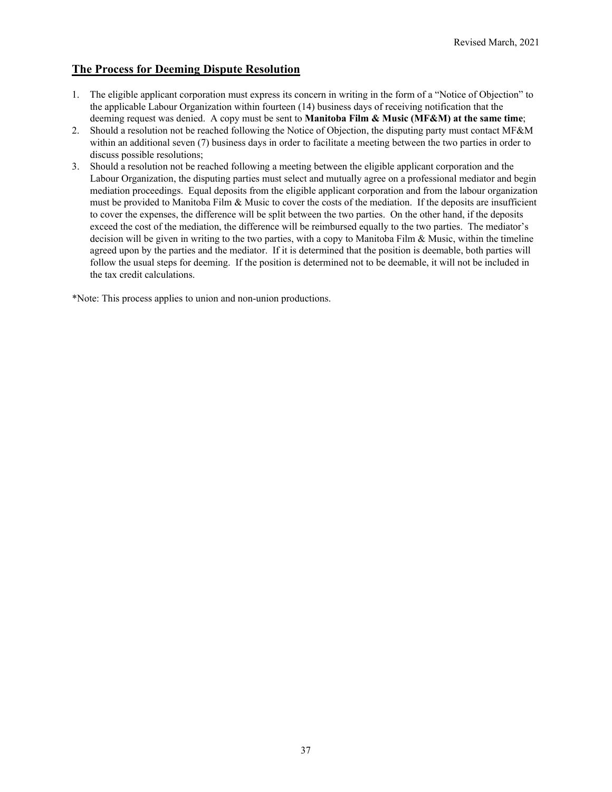#### **The Process for Deeming Dispute Resolution**

- 1. The eligible applicant corporation must express its concern in writing in the form of a "Notice of Objection" to the applicable Labour Organization within fourteen (14) business days of receiving notification that the deeming request was denied. A copy must be sent to **Manitoba Film & Music (MF&M) at the same time**;
- 2. Should a resolution not be reached following the Notice of Objection, the disputing party must contact MF&M within an additional seven (7) business days in order to facilitate a meeting between the two parties in order to discuss possible resolutions;
- 3. Should a resolution not be reached following a meeting between the eligible applicant corporation and the Labour Organization, the disputing parties must select and mutually agree on a professional mediator and begin mediation proceedings. Equal deposits from the eligible applicant corporation and from the labour organization must be provided to Manitoba Film & Music to cover the costs of the mediation. If the deposits are insufficient to cover the expenses, the difference will be split between the two parties. On the other hand, if the deposits exceed the cost of the mediation, the difference will be reimbursed equally to the two parties. The mediator's decision will be given in writing to the two parties, with a copy to Manitoba Film & Music, within the timeline agreed upon by the parties and the mediator. If it is determined that the position is deemable, both parties will follow the usual steps for deeming. If the position is determined not to be deemable, it will not be included in the tax credit calculations.

\*Note: This process applies to union and non-union productions.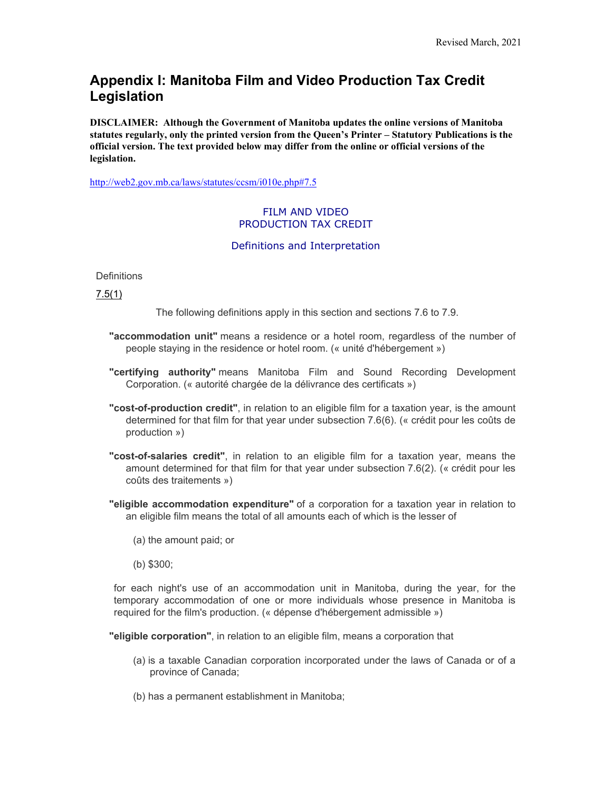# <span id="page-37-0"></span>**Appendix I: Manitoba Film and Video Production Tax Credit Legislation**

**DISCLAIMER: Although the Government of Manitoba updates the online versions of Manitoba statutes regularly, only the printed version from the Queen's Printer – Statutory Publications is the official version. The text provided below may differ from the online or official versions of the legislation.** 

<http://web2.gov.mb.ca/laws/statutes/ccsm/i010e.php#7.5>

#### FILM AND VIDEO PRODUCTION TAX CREDIT

#### Definitions and Interpretation

**Definitions** 

[7.5\(1\)](https://web2.gov.mb.ca/laws/statutes/ccsm/i010f.php#7.5)

The following definitions apply in this section and sections 7.6 to 7.9.

- **"accommodation unit"** means a residence or a hotel room, regardless of the number of people staying in the residence or hotel room. (« unité d'hébergement »)
- **"certifying authority"** means Manitoba Film and Sound Recording Development Corporation. (« autorité chargée de la délivrance des certificats »)
- **"cost-of-production credit"**, in relation to an eligible film for a taxation year, is the amount determined for that film for that year under subsection 7.6(6). (« crédit pour les coûts de production »)
- **"cost-of-salaries credit"**, in relation to an eligible film for a taxation year, means the amount determined for that film for that year under subsection 7.6(2). (« crédit pour les coûts des traitements »)
- **"eligible accommodation expenditure"** of a corporation for a taxation year in relation to an eligible film means the total of all amounts each of which is the lesser of
	- (a) the amount paid; or
	- (b) \$300;

for each night's use of an accommodation unit in Manitoba, during the year, for the temporary accommodation of one or more individuals whose presence in Manitoba is required for the film's production. (« dépense d'hébergement admissible »)

**"eligible corporation"**, in relation to an eligible film, means a corporation that

- (a) is a taxable Canadian corporation incorporated under the laws of Canada or of a province of Canada;
- (b) has a permanent establishment in Manitoba;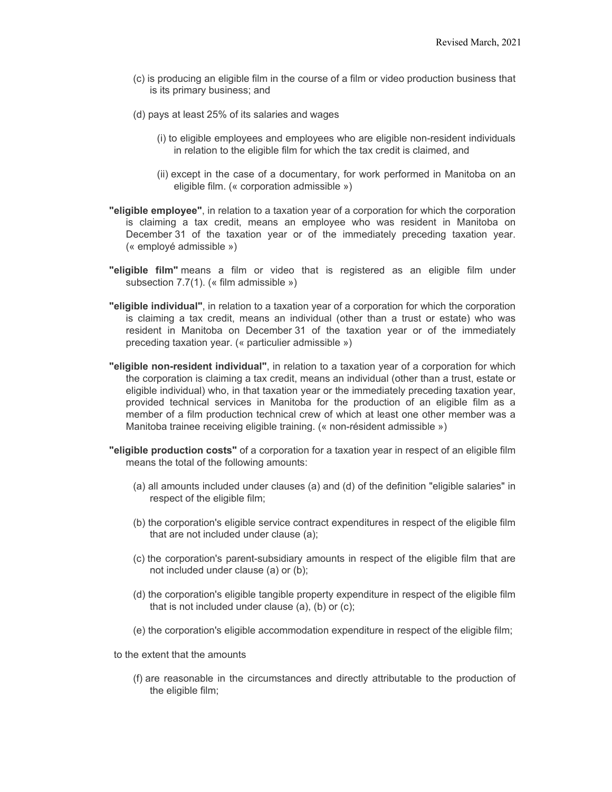- (c) is producing an eligible film in the course of a film or video production business that is its primary business; and
- (d) pays at least 25% of its salaries and wages
	- (i) to eligible employees and employees who are eligible non-resident individuals in relation to the eligible film for which the tax credit is claimed, and
	- (ii) except in the case of a documentary, for work performed in Manitoba on an eligible film. (« corporation admissible »)
- **"eligible employee"**, in relation to a taxation year of a corporation for which the corporation is claiming a tax credit, means an employee who was resident in Manitoba on December 31 of the taxation year or of the immediately preceding taxation year. (« employé admissible »)
- **"eligible film"** means a film or video that is registered as an eligible film under subsection 7.7(1). (« film admissible »)
- **"eligible individual"**, in relation to a taxation year of a corporation for which the corporation is claiming a tax credit, means an individual (other than a trust or estate) who was resident in Manitoba on December 31 of the taxation year or of the immediately preceding taxation year. (« particulier admissible »)
- **"eligible non-resident individual"**, in relation to a taxation year of a corporation for which the corporation is claiming a tax credit, means an individual (other than a trust, estate or eligible individual) who, in that taxation year or the immediately preceding taxation year, provided technical services in Manitoba for the production of an eligible film as a member of a film production technical crew of which at least one other member was a Manitoba trainee receiving eligible training. (« non-résident admissible »)
- **"eligible production costs"** of a corporation for a taxation year in respect of an eligible film means the total of the following amounts:
	- (a) all amounts included under clauses (a) and (d) of the definition "eligible salaries" in respect of the eligible film;
	- (b) the corporation's eligible service contract expenditures in respect of the eligible film that are not included under clause (a);
	- (c) the corporation's parent-subsidiary amounts in respect of the eligible film that are not included under clause (a) or (b);
	- (d) the corporation's eligible tangible property expenditure in respect of the eligible film that is not included under clause (a), (b) or (c);
	- (e) the corporation's eligible accommodation expenditure in respect of the eligible film;

to the extent that the amounts

(f) are reasonable in the circumstances and directly attributable to the production of the eligible film;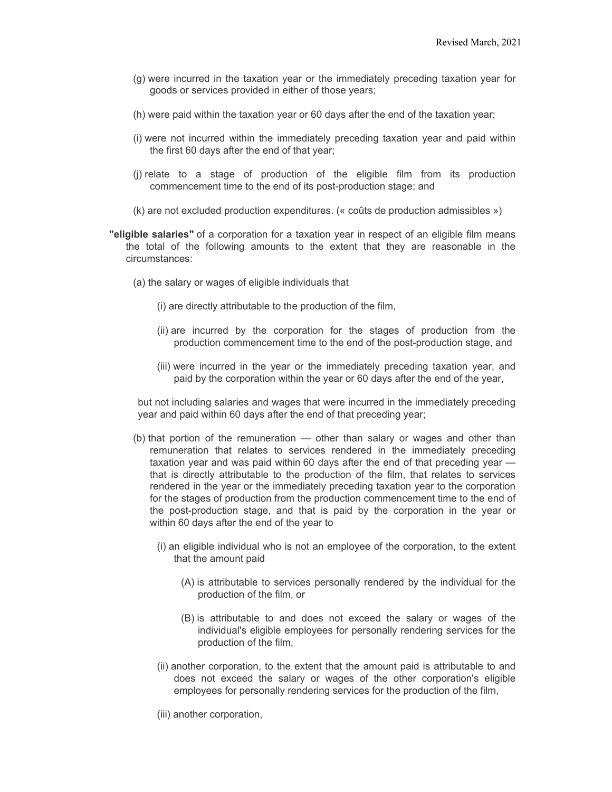- (g) were incurred in the taxation year or the immediately preceding taxation year for goods or services provided in either of those years;
- (h) were paid within the taxation year or 60 days after the end of the taxation year;
- (i) were not incurred within the immediately preceding taxation year and paid within the first 60 days after the end of that year;
- (j) relate to a stage of production of the eligible film from its production commencement time to the end of its post-production stage; and
- (k) are not excluded production expenditures. (« coûts de production admissibles »)
- **"eligible salaries"** of a corporation for a taxation year in respect of an eligible film means the total of the following amounts to the extent that they are reasonable in the circumstances:
	- (a) the salary or wages of eligible individuals that
		- (i) are directly attributable to the production of the film,
		- (ii) are incurred by the corporation for the stages of production from the production commencement time to the end of the post-production stage, and
		- (iii) were incurred in the year or the immediately preceding taxation year, and paid by the corporation within the year or 60 days after the end of the year,

but not including salaries and wages that were incurred in the immediately preceding year and paid within 60 days after the end of that preceding year;

- (b) that portion of the remuneration other than salary or wages and other than remuneration that relates to services rendered in the immediately preceding taxation year and was paid within 60 days after the end of that preceding year that is directly attributable to the production of the film, that relates to services rendered in the year or the immediately preceding taxation year to the corporation for the stages of production from the production commencement time to the end of the post-production stage, and that is paid by the corporation in the year or within 60 days after the end of the year to
	- (i) an eligible individual who is not an employee of the corporation, to the extent that the amount paid
		- (A) is attributable to services personally rendered by the individual for the production of the film, or
		- (B) is attributable to and does not exceed the salary or wages of the individual's eligible employees for personally rendering services for the production of the film,
	- (ii) another corporation, to the extent that the amount paid is attributable to and does not exceed the salary or wages of the other corporation's eligible employees for personally rendering services for the production of the film,
	- (iii) another corporation,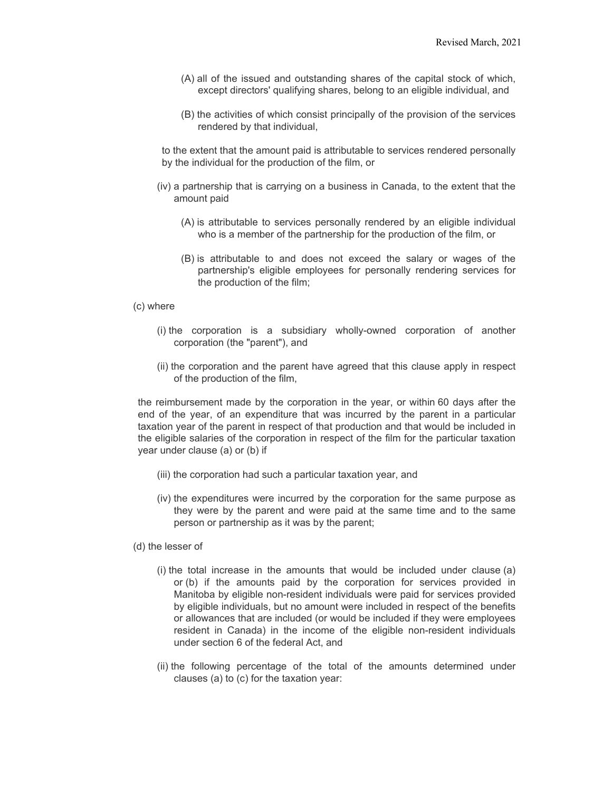- (A) all of the issued and outstanding shares of the capital stock of which, except directors' qualifying shares, belong to an eligible individual, and
- (B) the activities of which consist principally of the provision of the services rendered by that individual,

to the extent that the amount paid is attributable to services rendered personally by the individual for the production of the film, or

- (iv) a partnership that is carrying on a business in Canada, to the extent that the amount paid
	- (A) is attributable to services personally rendered by an eligible individual who is a member of the partnership for the production of the film, or
	- (B) is attributable to and does not exceed the salary or wages of the partnership's eligible employees for personally rendering services for the production of the film;

#### (c) where

- (i) the corporation is a subsidiary wholly-owned corporation of another corporation (the "parent"), and
- (ii) the corporation and the parent have agreed that this clause apply in respect of the production of the film,

the reimbursement made by the corporation in the year, or within 60 days after the end of the year, of an expenditure that was incurred by the parent in a particular taxation year of the parent in respect of that production and that would be included in the eligible salaries of the corporation in respect of the film for the particular taxation year under clause (a) or (b) if

- (iii) the corporation had such a particular taxation year, and
- (iv) the expenditures were incurred by the corporation for the same purpose as they were by the parent and were paid at the same time and to the same person or partnership as it was by the parent;
- (d) the lesser of
	- (i) the total increase in the amounts that would be included under clause (a) or (b) if the amounts paid by the corporation for services provided in Manitoba by eligible non-resident individuals were paid for services provided by eligible individuals, but no amount were included in respect of the benefits or allowances that are included (or would be included if they were employees resident in Canada) in the income of the eligible non-resident individuals under section 6 of the federal Act, and
	- (ii) the following percentage of the total of the amounts determined under clauses (a) to (c) for the taxation year: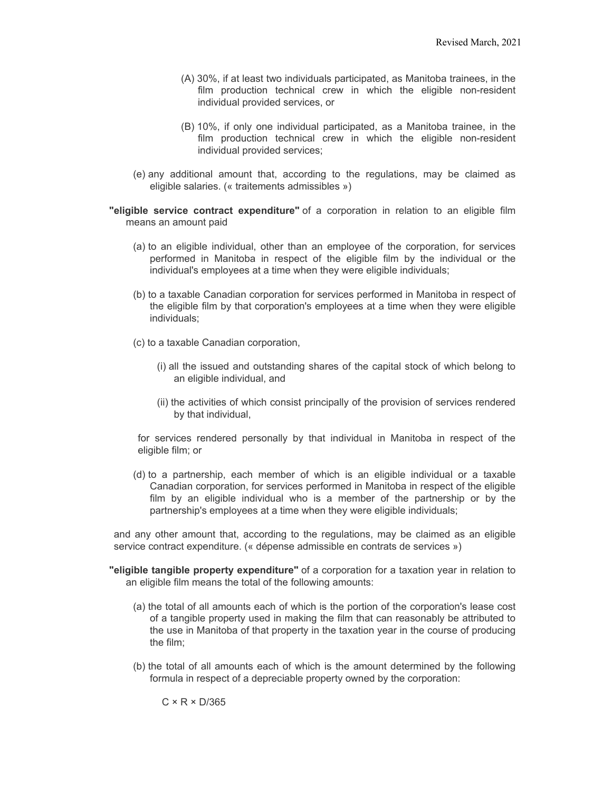- (A) 30%, if at least two individuals participated, as Manitoba trainees, in the film production technical crew in which the eligible non-resident individual provided services, or
- (B) 10%, if only one individual participated, as a Manitoba trainee, in the film production technical crew in which the eligible non-resident individual provided services;
- (e) any additional amount that, according to the regulations, may be claimed as eligible salaries. (« traitements admissibles »)

**"eligible service contract expenditure"** of a corporation in relation to an eligible film means an amount paid

- (a) to an eligible individual, other than an employee of the corporation, for services performed in Manitoba in respect of the eligible film by the individual or the individual's employees at a time when they were eligible individuals;
- (b) to a taxable Canadian corporation for services performed in Manitoba in respect of the eligible film by that corporation's employees at a time when they were eligible individuals;
- (c) to a taxable Canadian corporation,
	- (i) all the issued and outstanding shares of the capital stock of which belong to an eligible individual, and
	- (ii) the activities of which consist principally of the provision of services rendered by that individual,

for services rendered personally by that individual in Manitoba in respect of the eligible film; or

(d) to a partnership, each member of which is an eligible individual or a taxable Canadian corporation, for services performed in Manitoba in respect of the eligible film by an eligible individual who is a member of the partnership or by the partnership's employees at a time when they were eligible individuals;

and any other amount that, according to the regulations, may be claimed as an eligible service contract expenditure. (« dépense admissible en contrats de services »)

- **"eligible tangible property expenditure"** of a corporation for a taxation year in relation to an eligible film means the total of the following amounts:
	- (a) the total of all amounts each of which is the portion of the corporation's lease cost of a tangible property used in making the film that can reasonably be attributed to the use in Manitoba of that property in the taxation year in the course of producing the film;
	- (b) the total of all amounts each of which is the amount determined by the following formula in respect of a depreciable property owned by the corporation:

 $C \times R \times D/365$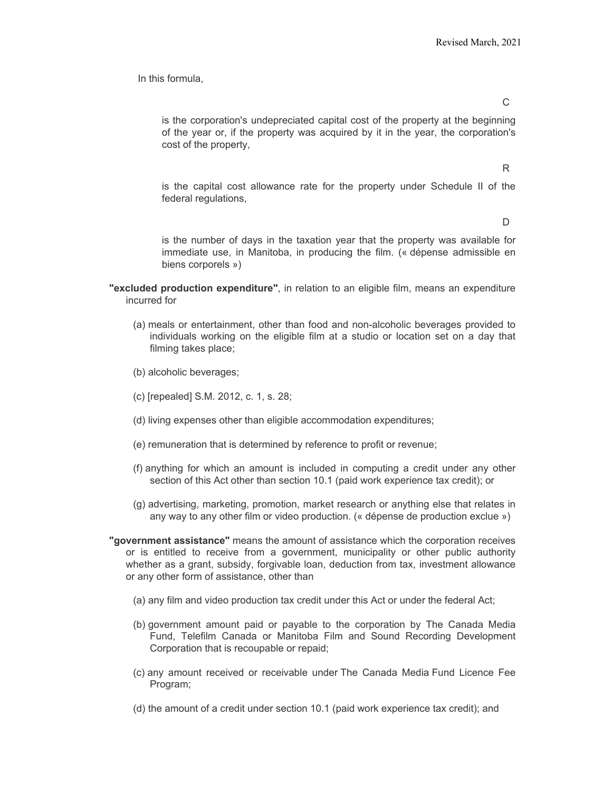In this formula,

 $\mathcal{C}$ 

is the corporation's undepreciated capital cost of the property at the beginning of the year or, if the property was acquired by it in the year, the corporation's cost of the property,

R

is the capital cost allowance rate for the property under Schedule II of the federal regulations,

D

is the number of days in the taxation year that the property was available for immediate use, in Manitoba, in producing the film. (« dépense admissible en biens corporels »)

- **"excluded production expenditure"**, in relation to an eligible film, means an expenditure incurred for
	- (a) meals or entertainment, other than food and non-alcoholic beverages provided to individuals working on the eligible film at a studio or location set on a day that filming takes place;
	- (b) alcoholic beverages;
	- (c) [repealed] S.M. 2012, c. 1, s. 28;
	- (d) living expenses other than eligible accommodation expenditures;
	- (e) remuneration that is determined by reference to profit or revenue;
	- (f) anything for which an amount is included in computing a credit under any other section of this Act other than section 10.1 (paid work experience tax credit); or
	- (g) advertising, marketing, promotion, market research or anything else that relates in any way to any other film or video production. (« dépense de production exclue »)
- **"government assistance"** means the amount of assistance which the corporation receives or is entitled to receive from a government, municipality or other public authority whether as a grant, subsidy, forgivable loan, deduction from tax, investment allowance or any other form of assistance, other than
	- (a) any film and video production tax credit under this Act or under the federal Act;
	- (b) government amount paid or payable to the corporation by The Canada Media Fund, Telefilm Canada or Manitoba Film and Sound Recording Development Corporation that is recoupable or repaid;
	- (c) any amount received or receivable under The Canada Media Fund Licence Fee Program;
	- (d) the amount of a credit under section 10.1 (paid work experience tax credit); and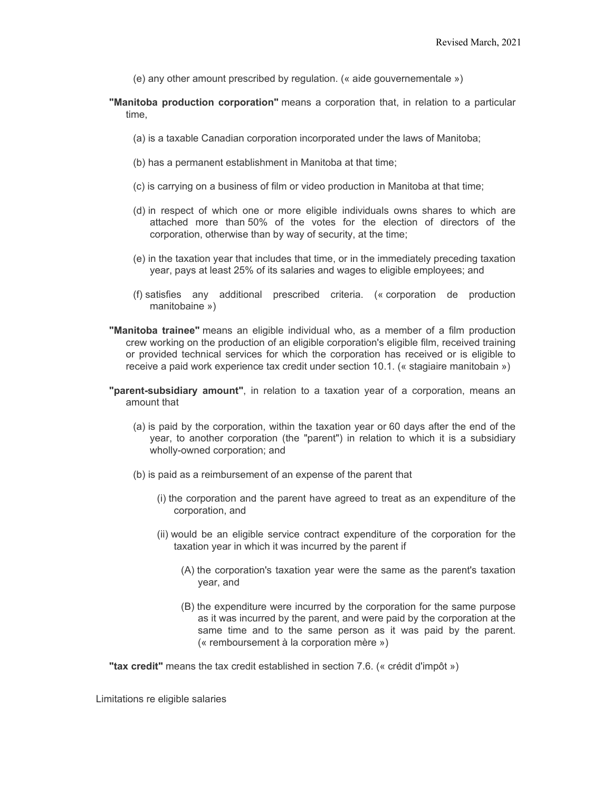- (e) any other amount prescribed by regulation. (« aide gouvernementale »)
- **"Manitoba production corporation"** means a corporation that, in relation to a particular time,
	- (a) is a taxable Canadian corporation incorporated under the laws of Manitoba;
	- (b) has a permanent establishment in Manitoba at that time;
	- (c) is carrying on a business of film or video production in Manitoba at that time;
	- (d) in respect of which one or more eligible individuals owns shares to which are attached more than 50% of the votes for the election of directors of the corporation, otherwise than by way of security, at the time;
	- (e) in the taxation year that includes that time, or in the immediately preceding taxation year, pays at least 25% of its salaries and wages to eligible employees; and
	- (f) satisfies any additional prescribed criteria. (« corporation de production manitobaine »)
- **"Manitoba trainee"** means an eligible individual who, as a member of a film production crew working on the production of an eligible corporation's eligible film, received training or provided technical services for which the corporation has received or is eligible to receive a paid work experience tax credit under section 10.1. (« stagiaire manitobain »)
- **"parent-subsidiary amount"**, in relation to a taxation year of a corporation, means an amount that
	- (a) is paid by the corporation, within the taxation year or 60 days after the end of the year, to another corporation (the "parent") in relation to which it is a subsidiary wholly-owned corporation; and
	- (b) is paid as a reimbursement of an expense of the parent that
		- (i) the corporation and the parent have agreed to treat as an expenditure of the corporation, and
		- (ii) would be an eligible service contract expenditure of the corporation for the taxation year in which it was incurred by the parent if
			- (A) the corporation's taxation year were the same as the parent's taxation year, and
			- (B) the expenditure were incurred by the corporation for the same purpose as it was incurred by the parent, and were paid by the corporation at the same time and to the same person as it was paid by the parent. (« remboursement à la corporation mère »)

**"tax credit"** means the tax credit established in section 7.6. (« crédit d'impôt »)

Limitations re eligible salaries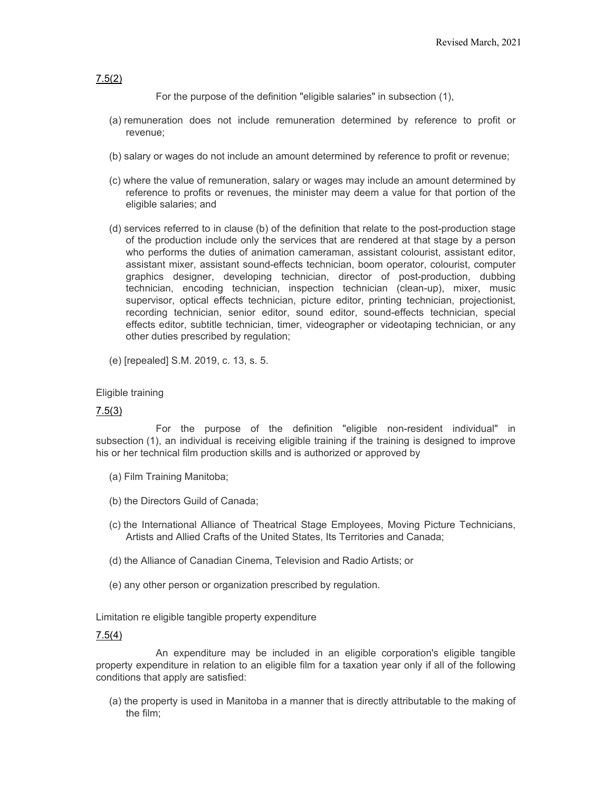#### [7.5\(2\)](https://web2.gov.mb.ca/laws/statutes/ccsm/i010f.php#7.5(2))

For the purpose of the definition "eligible salaries" in subsection (1),

- (a) remuneration does not include remuneration determined by reference to profit or revenue;
- (b) salary or wages do not include an amount determined by reference to profit or revenue;
- (c) where the value of remuneration, salary or wages may include an amount determined by reference to profits or revenues, the minister may deem a value for that portion of the eligible salaries; and
- (d) services referred to in clause (b) of the definition that relate to the post-production stage of the production include only the services that are rendered at that stage by a person who performs the duties of animation cameraman, assistant colourist, assistant editor, assistant mixer, assistant sound-effects technician, boom operator, colourist, computer graphics designer, developing technician, director of post-production, dubbing technician, encoding technician, inspection technician (clean-up), mixer, music supervisor, optical effects technician, picture editor, printing technician, projectionist, recording technician, senior editor, sound editor, sound-effects technician, special effects editor, subtitle technician, timer, videographer or videotaping technician, or any other duties prescribed by regulation;
- (e) [repealed] S.M. 2019, c. 13, s. 5.

#### Eligible training

#### [7.5\(3\)](https://web2.gov.mb.ca/laws/statutes/ccsm/i010f.php#7.5(3))

For the purpose of the definition "eligible non-resident individual" in subsection (1), an individual is receiving eligible training if the training is designed to improve his or her technical film production skills and is authorized or approved by

- (a) Film Training Manitoba;
- (b) the Directors Guild of Canada;
- (c) the International Alliance of Theatrical Stage Employees, Moving Picture Technicians, Artists and Allied Crafts of the United States, Its Territories and Canada;
- (d) the Alliance of Canadian Cinema, Television and Radio Artists; or
- (e) any other person or organization prescribed by regulation.

Limitation re eligible tangible property expenditure

#### [7.5\(4\)](https://web2.gov.mb.ca/laws/statutes/ccsm/i010f.php#7.5(4))

An expenditure may be included in an eligible corporation's eligible tangible property expenditure in relation to an eligible film for a taxation year only if all of the following conditions that apply are satisfied:

(a) the property is used in Manitoba in a manner that is directly attributable to the making of the film;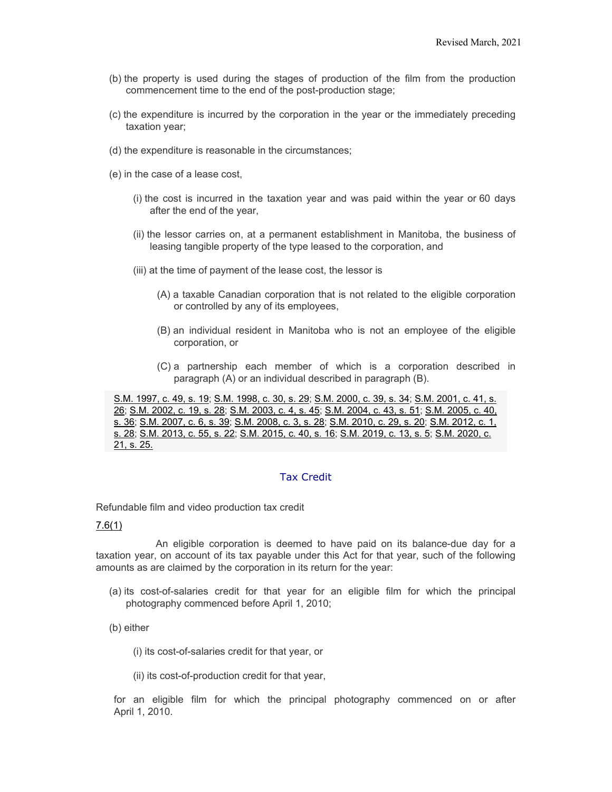- (b) the property is used during the stages of production of the film from the production commencement time to the end of the post-production stage;
- (c) the expenditure is incurred by the corporation in the year or the immediately preceding taxation year;
- (d) the expenditure is reasonable in the circumstances;
- (e) in the case of a lease cost,
	- (i) the cost is incurred in the taxation year and was paid within the year or 60 days after the end of the year,
	- (ii) the lessor carries on, at a permanent establishment in Manitoba, the business of leasing tangible property of the type leased to the corporation, and
	- (iii) at the time of payment of the lease cost, the lessor is
		- (A) a taxable Canadian corporation that is not related to the eligible corporation or controlled by any of its employees,
		- (B) an individual resident in Manitoba who is not an employee of the eligible corporation, or
		- (C) a partnership each member of which is a corporation described in paragraph (A) or an individual described in paragraph (B).

[S.M. 1997, c. 49, s. 19;](https://web2.gov.mb.ca/laws/statutes/1997/c04997e.php#19) [S.M. 1998, c. 30, s. 29;](https://web2.gov.mb.ca/laws/statutes/1998/c03098e.php#29) [S.M. 2000, c. 39, s. 34;](https://web2.gov.mb.ca/laws/statutes/2000/c03900e.php#34) [S.M. 2001, c. 41, s.](https://web2.gov.mb.ca/laws/statutes/2001/c04101e.php#26)  [26;](https://web2.gov.mb.ca/laws/statutes/2001/c04101e.php#26) [S.M. 2002, c. 19, s. 28;](https://web2.gov.mb.ca/laws/statutes/2002/c01902e.php#28) [S.M. 2003, c. 4, s. 45;](https://web2.gov.mb.ca/laws/statutes/2003/c00403e.php#45) S.M. [2004, c. 43, s. 51;](https://web2.gov.mb.ca/laws/statutes/2004/c04304e.php#51) [S.M. 2005, c. 40,](https://web2.gov.mb.ca/laws/statutes/2005/c04005e.php#36)  [s. 36;](https://web2.gov.mb.ca/laws/statutes/2005/c04005e.php#36) [S.M. 2007, c. 6, s. 39;](https://web2.gov.mb.ca/laws/statutes/2007/c00607e.php#39) [S.M. 2008, c. 3, s. 28;](https://web2.gov.mb.ca/laws/statutes/2008/c00308e.php#28) [S.M. 2010, c. 29, s. 20;](https://web2.gov.mb.ca/laws/statutes/2010/c02910e.php#20) [S.M. 2012, c. 1,](https://web2.gov.mb.ca/laws/statutes/2012/c00112e.php#28)  [s. 28;](https://web2.gov.mb.ca/laws/statutes/2012/c00112e.php#28) [S.M. 2013, c. 55, s. 22;](https://web2.gov.mb.ca/laws/statutes/2013/c05513e.php#22) [S.M. 2015, c. 40, s. 16;](https://web2.gov.mb.ca/laws/statutes/2015/c04015e.php#16) [S.M. 2019, c. 13, s. 5;](https://web2.gov.mb.ca/laws/statutes/2019/c01319e.php#5) [S.M. 2020, c.](https://web2.gov.mb.ca/laws/statutes/2020/c02120e.php#25)  [21, s. 25.](https://web2.gov.mb.ca/laws/statutes/2020/c02120e.php#25)

#### Tax Credit

Refundable film and video production tax credit

#### [7.6\(1\)](https://web2.gov.mb.ca/laws/statutes/ccsm/i010f.php#7.6)

An eligible corporation is deemed to have paid on its balance-due day for a taxation year, on account of its tax payable under this Act for that year, such of the following amounts as are claimed by the corporation in its return for the year:

- (a) its cost-of-salaries credit for that year for an eligible film for which the principal photography commenced before April 1, 2010;
- (b) either

(i) its cost-of-salaries credit for that year, or

(ii) its cost-of-production credit for that year,

for an eligible film for which the principal photography commenced on or after April 1, 2010.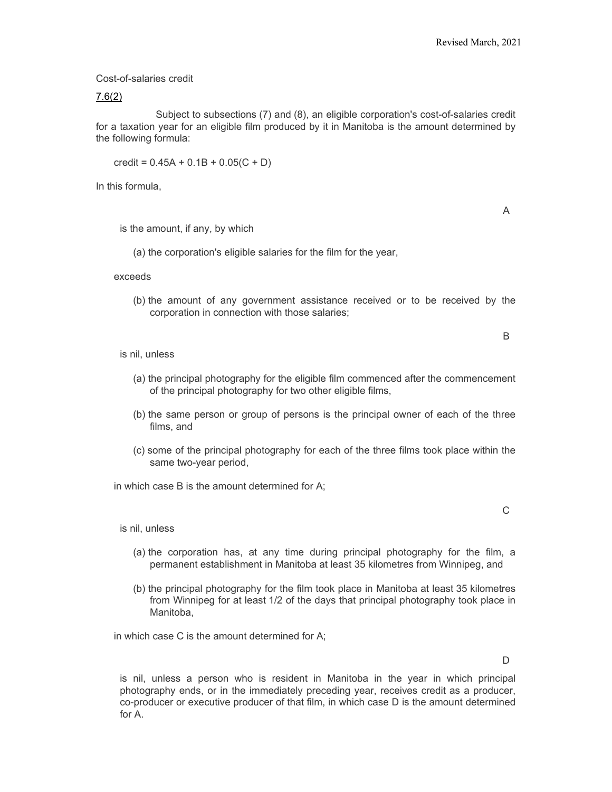Cost-of-salaries credit

#### [7.6\(2\)](https://web2.gov.mb.ca/laws/statutes/ccsm/i010f.php#7.6(2))

Subject to subsections (7) and (8), an eligible corporation's cost-of-salaries credit for a taxation year for an eligible film produced by it in Manitoba is the amount determined by the following formula:

credit =  $0.45A + 0.1B + 0.05(C + D)$ 

In this formula,

A

is the amount, if any, by which

(a) the corporation's eligible salaries for the film for the year,

exceeds

(b) the amount of any government assistance received or to be received by the corporation in connection with those salaries;

B

is nil, unless

- (a) the principal photography for the eligible film commenced after the commencement of the principal photography for two other eligible films,
- (b) the same person or group of persons is the principal owner of each of the three films, and
- (c) some of the principal photography for each of the three films took place within the same two-year period,

in which case B is the amount determined for A;

 $\mathcal{C}$ 

is nil, unless

- (a) the corporation has, at any time during principal photography for the film, a permanent establishment in Manitoba at least 35 kilometres from Winnipeg, and
- (b) the principal photography for the film took place in Manitoba at least 35 kilometres from Winnipeg for at least 1/2 of the days that principal photography took place in Manitoba,

in which case C is the amount determined for A;

 $\mathsf{D}$ 

is nil, unless a person who is resident in Manitoba in the year in which principal photography ends, or in the immediately preceding year, receives credit as a producer, co-producer or executive producer of that film, in which case D is the amount determined for A.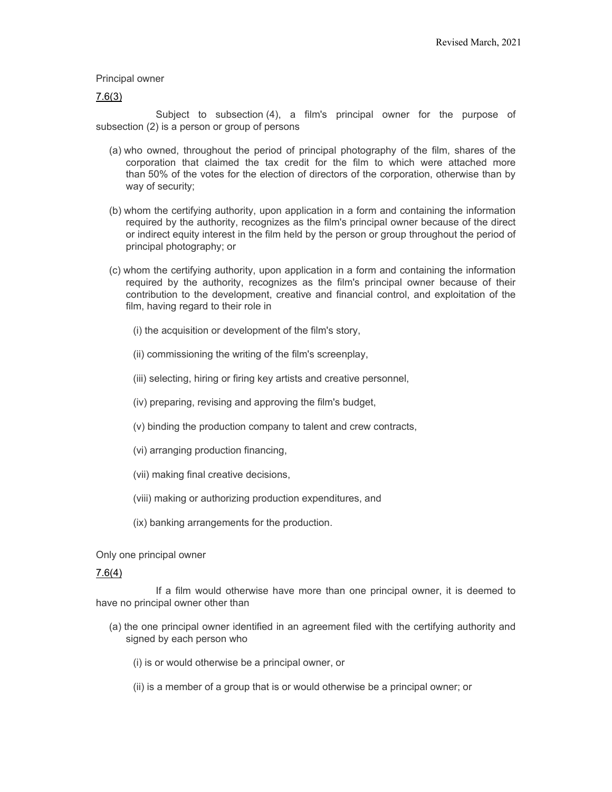#### Principal owner

#### [7.6\(3\)](https://web2.gov.mb.ca/laws/statutes/ccsm/i010f.php#7.6(3))

Subject to subsection (4), a film's principal owner for the purpose of subsection (2) is a person or group of persons

- (a) who owned, throughout the period of principal photography of the film, shares of the corporation that claimed the tax credit for the film to which were attached more than 50% of the votes for the election of directors of the corporation, otherwise than by way of security;
- (b) whom the certifying authority, upon application in a form and containing the information required by the authority, recognizes as the film's principal owner because of the direct or indirect equity interest in the film held by the person or group throughout the period of principal photography; or
- (c) whom the certifying authority, upon application in a form and containing the information required by the authority, recognizes as the film's principal owner because of their contribution to the development, creative and financial control, and exploitation of the film, having regard to their role in
	- (i) the acquisition or development of the film's story,
	- (ii) commissioning the writing of the film's screenplay,
	- (iii) selecting, hiring or firing key artists and creative personnel,
	- (iv) preparing, revising and approving the film's budget,
	- (v) binding the production company to talent and crew contracts,
	- (vi) arranging production financing,
	- (vii) making final creative decisions,
	- (viii) making or authorizing production expenditures, and
	- (ix) banking arrangements for the production.

Only one principal owner

#### [7.6\(4\)](https://web2.gov.mb.ca/laws/statutes/ccsm/i010f.php#7.6(4))

If a film would otherwise have more than one principal owner, it is deemed to have no principal owner other than

- (a) the one principal owner identified in an agreement filed with the certifying authority and signed by each person who
	- (i) is or would otherwise be a principal owner, or
	- (ii) is a member of a group that is or would otherwise be a principal owner; or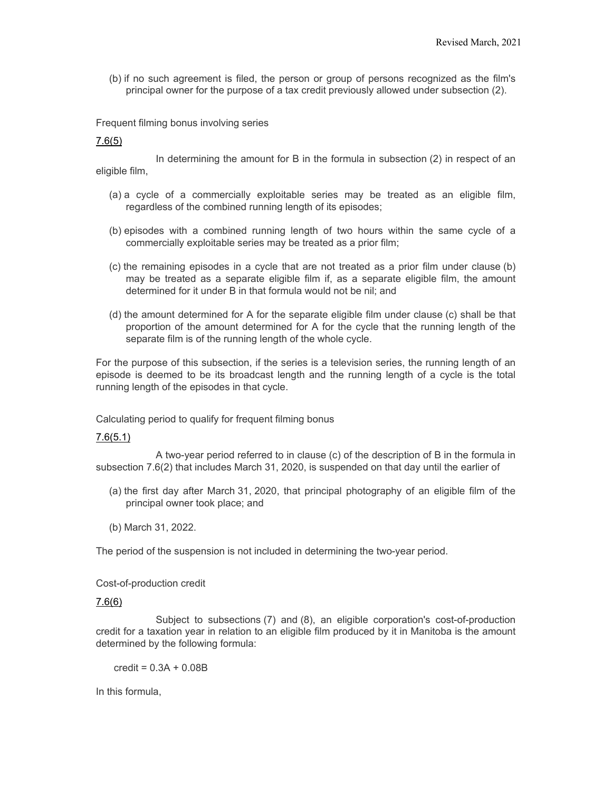(b) if no such agreement is filed, the person or group of persons recognized as the film's principal owner for the purpose of a tax credit previously allowed under subsection (2).

Frequent filming bonus involving series

#### [7.6\(5\)](https://web2.gov.mb.ca/laws/statutes/ccsm/i010f.php#7.6(5))

In determining the amount for B in the formula in subsection (2) in respect of an eligible film,

- (a) a cycle of a commercially exploitable series may be treated as an eligible film, regardless of the combined running length of its episodes;
- (b) episodes with a combined running length of two hours within the same cycle of a commercially exploitable series may be treated as a prior film;
- (c) the remaining episodes in a cycle that are not treated as a prior film under clause (b) may be treated as a separate eligible film if, as a separate eligible film, the amount determined for it under B in that formula would not be nil; and
- (d) the amount determined for A for the separate eligible film under clause (c) shall be that proportion of the amount determined for A for the cycle that the running length of the separate film is of the running length of the whole cycle.

For the purpose of this subsection, if the series is a television series, the running length of an episode is deemed to be its broadcast length and the running length of a cycle is the total running length of the episodes in that cycle.

Calculating period to qualify for frequent filming bonus

#### [7.6\(5.1\)](https://web2.gov.mb.ca/laws/statutes/ccsm/i010f.php#7.6(5.1))

A two-year period referred to in clause (c) of the description of B in the formula in subsection 7.6(2) that includes March 31, 2020, is suspended on that day until the earlier of

- (a) the first day after March 31, 2020, that principal photography of an eligible film of the principal owner took place; and
- (b) March 31, 2022.

The period of the suspension is not included in determining the two-year period.

#### Cost-of-production credit

#### [7.6\(6\)](https://web2.gov.mb.ca/laws/statutes/ccsm/i010f.php#7.6(6))

Subject to subsections (7) and (8), an eligible corporation's cost-of-production credit for a taxation year in relation to an eligible film produced by it in Manitoba is the amount determined by the following formula:

 $credit = 0.3A + 0.08B$ 

In this formula,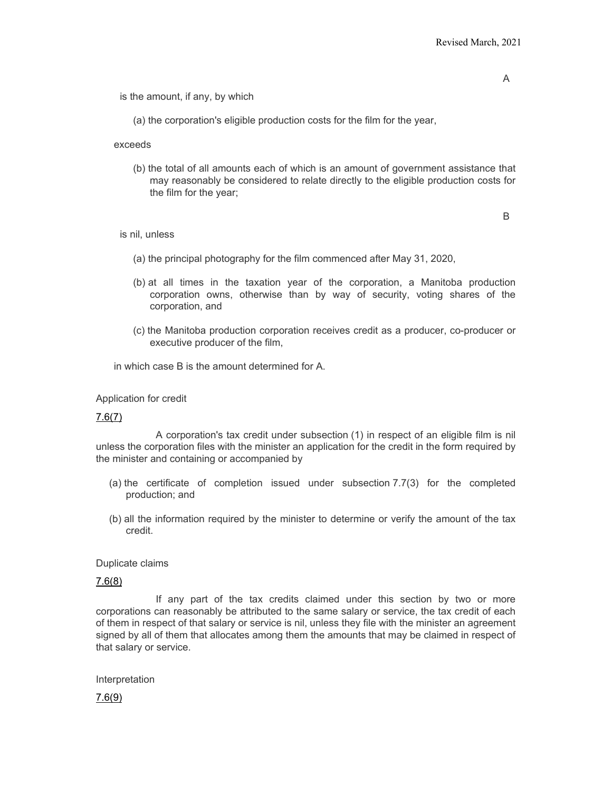is the amount, if any, by which

(a) the corporation's eligible production costs for the film for the year,

exceeds

(b) the total of all amounts each of which is an amount of government assistance that may reasonably be considered to relate directly to the eligible production costs for the film for the year;

B

is nil, unless

- (a) the principal photography for the film commenced after May 31, 2020,
- (b) at all times in the taxation year of the corporation, a Manitoba production corporation owns, otherwise than by way of security, voting shares of the corporation, and
- (c) the Manitoba production corporation receives credit as a producer, co-producer or executive producer of the film,

in which case B is the amount determined for A.

Application for credit

#### [7.6\(7\)](https://web2.gov.mb.ca/laws/statutes/ccsm/i010f.php#7.6(7))

A corporation's tax credit under subsection (1) in respect of an eligible film is nil unless the corporation files with the minister an application for the credit in the form required by the minister and containing or accompanied by

- (a) the certificate of completion issued under subsection 7.7(3) for the completed production; and
- (b) all the information required by the minister to determine or verify the amount of the tax credit.

Duplicate claims

#### [7.6\(8\)](https://web2.gov.mb.ca/laws/statutes/ccsm/i010f.php#7.6(8))

If any part of the tax credits claimed under this section by two or more corporations can reasonably be attributed to the same salary or service, the tax credit of each of them in respect of that salary or service is nil, unless they file with the minister an agreement signed by all of them that allocates among them the amounts that may be claimed in respect of that salary or service.

Interpretation

[7.6\(9\)](https://web2.gov.mb.ca/laws/statutes/ccsm/i010f.php#7.6(9))

A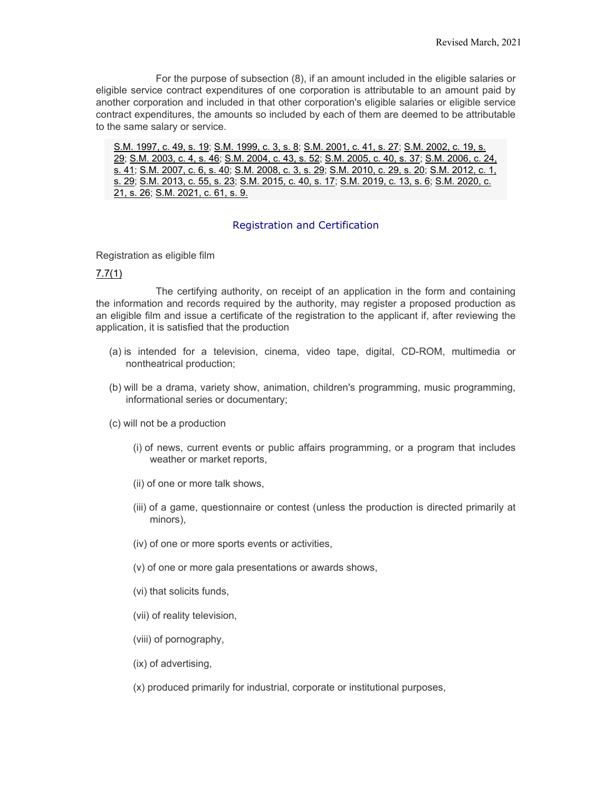For the purpose of subsection (8), if an amount included in the eligible salaries or eligible service contract expenditures of one corporation is attributable to an amount paid by another corporation and included in that other corporation's eligible salaries or eligible service contract expenditures, the amounts so included by each of them are deemed to be attributable to the same salary or service.

[S.M. 1997, c. 49, s. 19;](https://web2.gov.mb.ca/laws/statutes/1997/c04997e.php#19) [S.M. 1999, c. 3, s. 8;](https://web2.gov.mb.ca/laws/statutes/1999/c00399e.php#8) [S.M. 2001, c. 41, s. 27;](https://web2.gov.mb.ca/laws/statutes/2001/c04101e.php#27) [S.M. 2002, c. 19, s.](https://web2.gov.mb.ca/laws/statutes/2002/c01902e.php#29)  [29;](https://web2.gov.mb.ca/laws/statutes/2002/c01902e.php#29) [S.M. 2003, c. 4, s. 46;](https://web2.gov.mb.ca/laws/statutes/2003/c00403e.php#46) [S.M. 2004, c. 43, s. 52;](https://web2.gov.mb.ca/laws/statutes/2004/c04304e.php#52) [S.M. 2005, c. 40, s. 37;](https://web2.gov.mb.ca/laws/statutes/2005/c04005e.php#37) [S.M. 2006, c. 24,](https://web2.gov.mb.ca/laws/statutes/2006/c02406e.php#41)  [s. 41;](https://web2.gov.mb.ca/laws/statutes/2006/c02406e.php#41) [S.M. 2007, c. 6, s. 40;](https://web2.gov.mb.ca/laws/statutes/2007/c00607e.php#40) [S.M. 2008, c. 3, s. 29;](https://web2.gov.mb.ca/laws/statutes/2008/c00308e.php#29) [S.M. 2010, c. 29, s. 20;](https://web2.gov.mb.ca/laws/statutes/2010/c02910e.php#20) [S.M. 2012,](https://web2.gov.mb.ca/laws/statutes/2012/c00112e.php#29) c. 1, [s. 29;](https://web2.gov.mb.ca/laws/statutes/2012/c00112e.php#29) [S.M. 2013, c. 55, s. 23;](https://web2.gov.mb.ca/laws/statutes/2013/c05513e.php#23) [S.M. 2015, c. 40, s. 17;](https://web2.gov.mb.ca/laws/statutes/2015/c04015e.php#17) [S.M. 2019, c. 13, s. 6;](https://web2.gov.mb.ca/laws/statutes/2019/c01319e.php#6) [S.M. 2020, c.](https://web2.gov.mb.ca/laws/statutes/2020/c02120e.php#26)  [21, s. 26;](https://web2.gov.mb.ca/laws/statutes/2020/c02120e.php#26) [S.M. 2021, c. 61, s. 9.](https://web2.gov.mb.ca/laws/statutes/2021/c06121e.php#9)

#### Registration and Certification

Registration as eligible film

#### [7.7\(1\)](https://web2.gov.mb.ca/laws/statutes/ccsm/i010f.php#7.7)

The certifying authority, on receipt of an application in the form and containing the information and records required by the authority, may register a proposed production as an eligible film and issue a certificate of the registration to the applicant if, after reviewing the application, it is satisfied that the production

- (a) is intended for a television, cinema, video tape, digital, CD-ROM, multimedia or nontheatrical production;
- (b) will be a drama, variety show, animation, children's programming, music programming, informational series or documentary;
- (c) will not be a production
	- (i) of news, current events or public affairs programming, or a program that includes weather or market reports,
	- (ii) of one or more talk shows,
	- (iii) of a game, questionnaire or contest (unless the production is directed primarily at minors),
	- (iv) of one or more sports events or activities,
	- (v) of one or more gala presentations or awards shows,
	- (vi) that solicits funds,
	- (vii) of reality television,
	- (viii) of pornography,
	- (ix) of advertising,
	- (x) produced primarily for industrial, corporate or institutional purposes,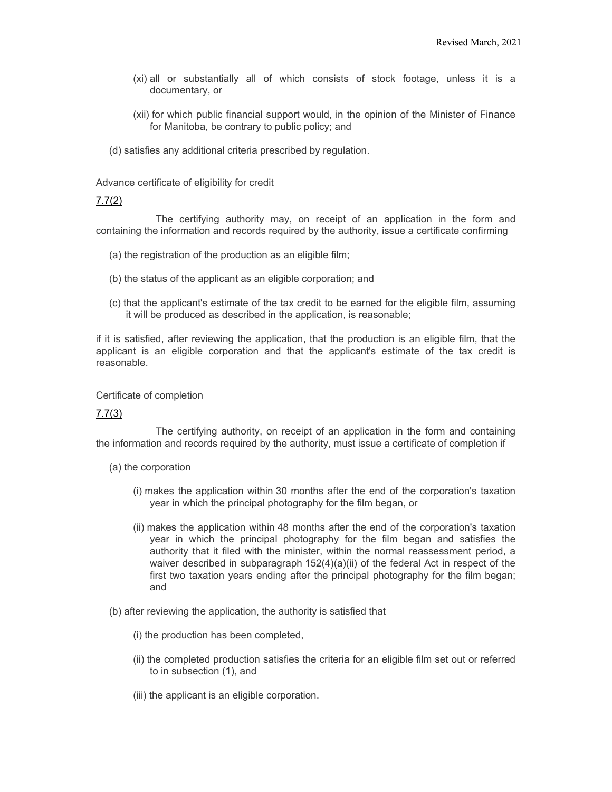- (xi) all or substantially all of which consists of stock footage, unless it is a documentary, or
- (xii) for which public financial support would, in the opinion of the Minister of Finance for Manitoba, be contrary to public policy; and
- (d) satisfies any additional criteria prescribed by regulation.

Advance certificate of eligibility for credit

#### [7.7\(2\)](https://web2.gov.mb.ca/laws/statutes/ccsm/i010f.php#7.7(2))

The certifying authority may, on receipt of an application in the form and containing the information and records required by the authority, issue a certificate confirming

- (a) the registration of the production as an eligible film;
- (b) the status of the applicant as an eligible corporation; and
- (c) that the applicant's estimate of the tax credit to be earned for the eligible film, assuming it will be produced as described in the application, is reasonable;

if it is satisfied, after reviewing the application, that the production is an eligible film, that the applicant is an eligible corporation and that the applicant's estimate of the tax credit is reasonable.

#### Certificate of completion

#### [7.7\(3\)](https://web2.gov.mb.ca/laws/statutes/ccsm/i010f.php#7.7(3))

The certifying authority, on receipt of an application in the form and containing the information and records required by the authority, must issue a certificate of completion if

- (a) the corporation
	- (i) makes the application within 30 months after the end of the corporation's taxation year in which the principal photography for the film began, or
	- (ii) makes the application within 48 months after the end of the corporation's taxation year in which the principal photography for the film began and satisfies the authority that it filed with the minister, within the normal reassessment period, a waiver described in subparagraph  $152(4)(a)(ii)$  of the federal Act in respect of the first two taxation years ending after the principal photography for the film began; and
- (b) after reviewing the application, the authority is satisfied that
	- (i) the production has been completed,
	- (ii) the completed production satisfies the criteria for an eligible film set out or referred to in subsection (1), and
	- (iii) the applicant is an eligible corporation.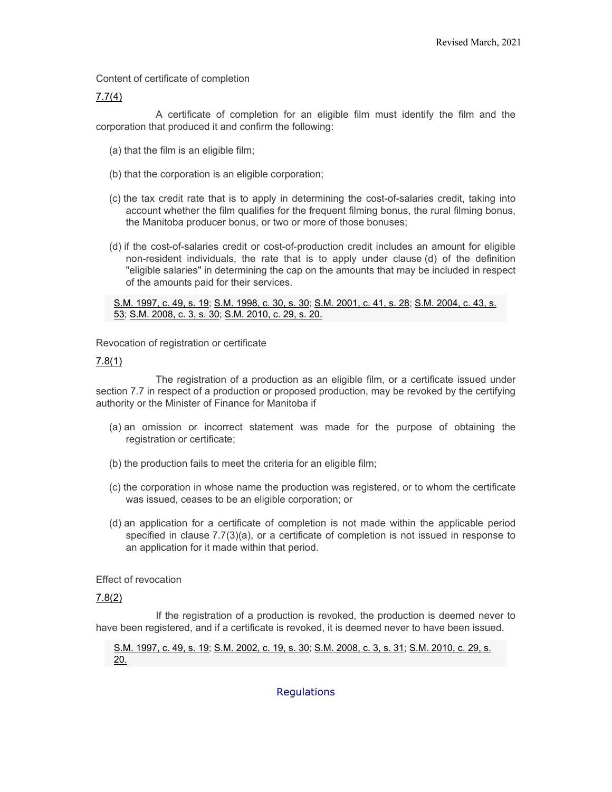Content of certificate of completion

#### [7.7\(4\)](https://web2.gov.mb.ca/laws/statutes/ccsm/i010f.php#7.7(4))

A certificate of completion for an eligible film must identify the film and the corporation that produced it and confirm the following:

- (a) that the film is an eligible film;
- (b) that the corporation is an eligible corporation;
- (c) the tax credit rate that is to apply in determining the cost-of-salaries credit, taking into account whether the film qualifies for the frequent filming bonus, the rural filming bonus, the Manitoba producer bonus, or two or more of those bonuses;
- (d) if the cost-of-salaries credit or cost-of-production credit includes an amount for eligible non-resident individuals, the rate that is to apply under clause (d) of the definition "eligible salaries" in determining the cap on the amounts that may be included in respect of the amounts paid for their services.

[S.M. 1997, c. 49, s. 19;](https://web2.gov.mb.ca/laws/statutes/1997/c04997e.php#19) [S.M. 1998, c. 30, s. 30;](https://web2.gov.mb.ca/laws/statutes/1998/c03098e.php#30) [S.M. 2001, c. 41, s. 28;](https://web2.gov.mb.ca/laws/statutes/2001/c04101e.php#28) [S.M. 2004, c. 43, s.](https://web2.gov.mb.ca/laws/statutes/2004/c04304e.php#53)  [53;](https://web2.gov.mb.ca/laws/statutes/2004/c04304e.php#53) [S.M. 2008, c. 3, s. 30;](https://web2.gov.mb.ca/laws/statutes/2008/c00308e.php#30) [S.M. 2010, c. 29, s. 20.](https://web2.gov.mb.ca/laws/statutes/2010/c02910e.php#20)

Revocation of registration or certificate

#### [7.8\(1\)](https://web2.gov.mb.ca/laws/statutes/ccsm/i010f.php#7.8)

The registration of a production as an eligible film, or a certificate issued under section 7.7 in respect of a production or proposed production, may be revoked by the certifying authority or the Minister of Finance for Manitoba if

- (a) an omission or incorrect statement was made for the purpose of obtaining the registration or certificate;
- (b) the production fails to meet the criteria for an eligible film;
- (c) the corporation in whose name the production was registered, or to whom the certificate was issued, ceases to be an eligible corporation; or
- (d) an application for a certificate of completion is not made within the applicable period specified in clause 7.7(3)(a), or a certificate of completion is not issued in response to an application for it made within that period.

Effect of revocation

#### [7.8\(2\)](https://web2.gov.mb.ca/laws/statutes/ccsm/i010f.php#7.8(2))

If the registration of a production is revoked, the production is deemed never to have been registered, and if a certificate is revoked, it is deemed never to have been issued.

[S.M. 1997, c. 49, s. 19;](https://web2.gov.mb.ca/laws/statutes/1997/c04997e.php#19) [S.M. 2002, c. 19, s. 30;](https://web2.gov.mb.ca/laws/statutes/2002/c01902e.php#30) [S.M. 2008, c. 3, s. 31;](https://web2.gov.mb.ca/laws/statutes/2008/c00308e.php#31) [S.M. 2010, c. 29, s.](https://web2.gov.mb.ca/laws/statutes/2010/c02910e.php#20)  [20.](https://web2.gov.mb.ca/laws/statutes/2010/c02910e.php#20)

**Regulations**